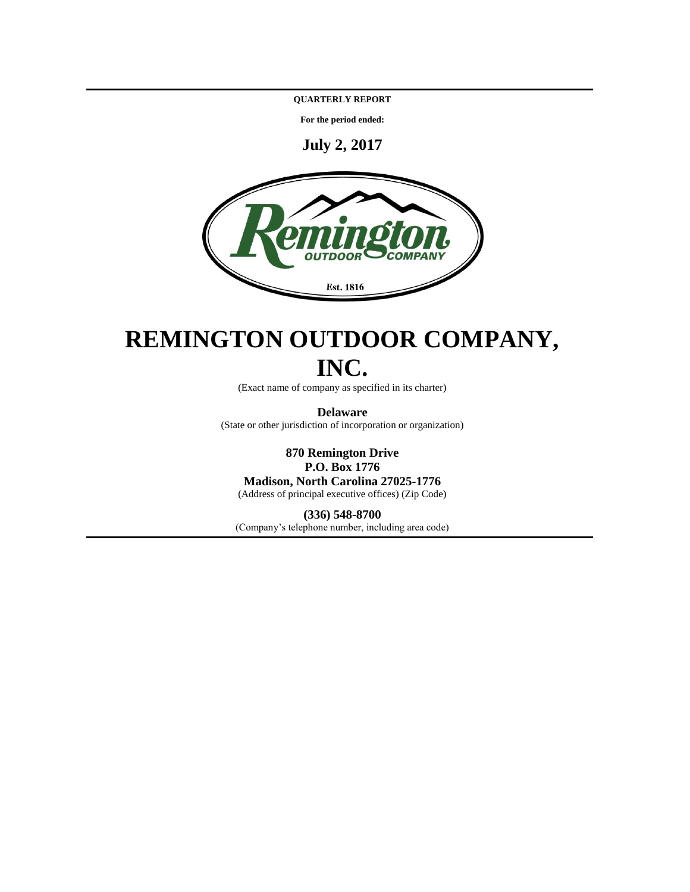**QUARTERLY REPORT**

**For the period ended:**

**July 2, 2017**



# **REMINGTON OUTDOOR COMPANY, INC.**

(Exact name of company as specified in its charter)

**Delaware** (State or other jurisdiction of incorporation or organization)

**870 Remington Drive P.O. Box 1776 Madison, North Carolina 27025-1776** (Address of principal executive offices) (Zip Code)

# **(336) 548-8700**

(Company's telephone number, including area code)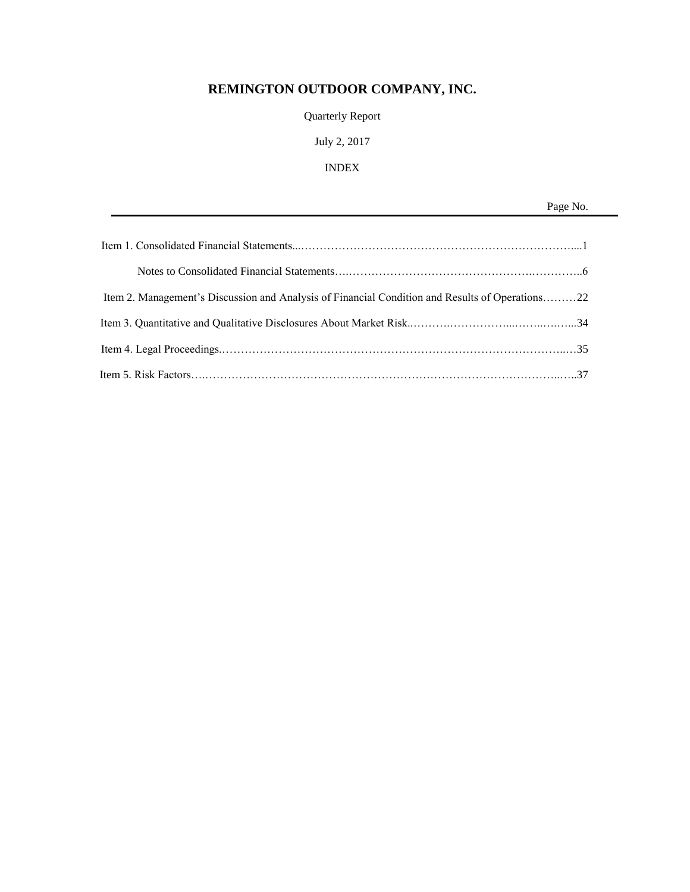# **REMINGTON OUTDOOR COMPANY, INC.**

Quarterly Report

# July 2, 2017

# INDEX

Page No.

| Item 2. Management's Discussion and Analysis of Financial Condition and Results of Operations22 |  |
|-------------------------------------------------------------------------------------------------|--|
|                                                                                                 |  |
|                                                                                                 |  |
|                                                                                                 |  |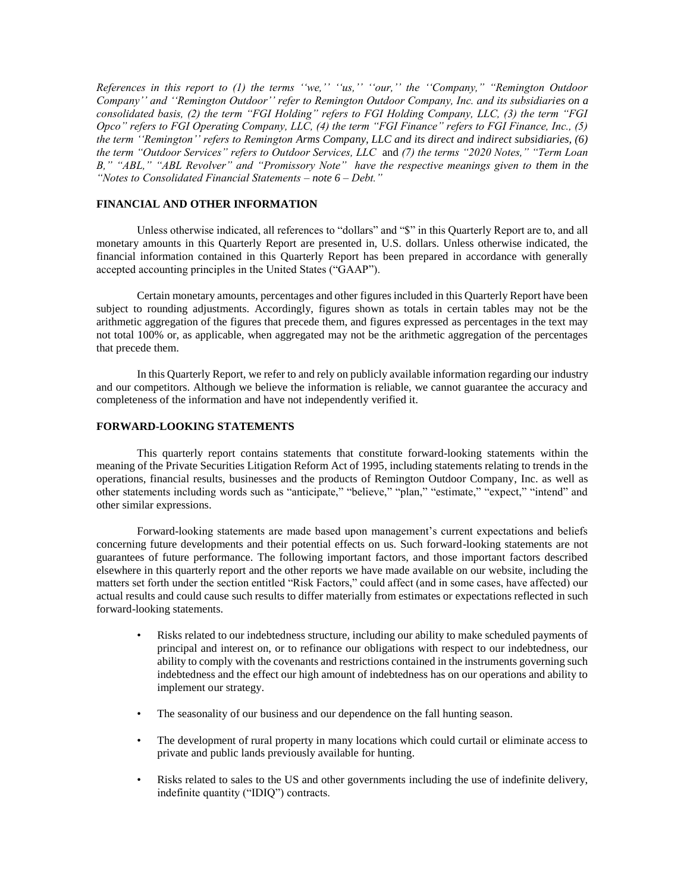*References in this report to (1) the terms ''we,'' ''us,'' ''our,'' the ''Company," "Remington Outdoor Company'' and ''Remington Outdoor'' refer to Remington Outdoor Company, Inc. and its subsidiaries on a consolidated basis, (2) the term "FGI Holding" refers to FGI Holding Company, LLC, (3) the term "FGI Opco" refers to FGI Operating Company, LLC, (4) the term "FGI Finance" refers to FGI Finance, Inc., (5) the term ''Remington'' refers to Remington Arms Company, LLC and its direct and indirect subsidiaries, (6) the term "Outdoor Services" refers to Outdoor Services, LLC* and *(7) the terms "2020 Notes," "Term Loan B," "ABL," "ABL Revolver" and "Promissory Note" have the respective meanings given to them in the "Notes to Consolidated Financial Statements – note 6 – Debt."*

# **FINANCIAL AND OTHER INFORMATION**

Unless otherwise indicated, all references to "dollars" and "\$" in this Quarterly Report are to, and all monetary amounts in this Quarterly Report are presented in, U.S. dollars. Unless otherwise indicated, the financial information contained in this Quarterly Report has been prepared in accordance with generally accepted accounting principles in the United States ("GAAP").

Certain monetary amounts, percentages and other figures included in this Quarterly Report have been subject to rounding adjustments. Accordingly, figures shown as totals in certain tables may not be the arithmetic aggregation of the figures that precede them, and figures expressed as percentages in the text may not total 100% or, as applicable, when aggregated may not be the arithmetic aggregation of the percentages that precede them.

In this Quarterly Report, we refer to and rely on publicly available information regarding our industry and our competitors. Although we believe the information is reliable, we cannot guarantee the accuracy and completeness of the information and have not independently verified it.

# **FORWARD-LOOKING STATEMENTS**

This quarterly report contains statements that constitute forward-looking statements within the meaning of the Private Securities Litigation Reform Act of 1995, including statements relating to trends in the operations, financial results, businesses and the products of Remington Outdoor Company, Inc. as well as other statements including words such as "anticipate," "believe," "plan," "estimate," "expect," "intend" and other similar expressions.

Forward-looking statements are made based upon management's current expectations and beliefs concerning future developments and their potential effects on us. Such forward-looking statements are not guarantees of future performance. The following important factors, and those important factors described elsewhere in this quarterly report and the other reports we have made available on our website, including the matters set forth under the section entitled "Risk Factors," could affect (and in some cases, have affected) our actual results and could cause such results to differ materially from estimates or expectations reflected in such forward-looking statements.

- Risks related to our indebtedness structure, including our ability to make scheduled payments of principal and interest on, or to refinance our obligations with respect to our indebtedness, our ability to comply with the covenants and restrictions contained in the instruments governing such indebtedness and the effect our high amount of indebtedness has on our operations and ability to implement our strategy.
- The seasonality of our business and our dependence on the fall hunting season.
- The development of rural property in many locations which could curtail or eliminate access to private and public lands previously available for hunting.
- Risks related to sales to the US and other governments including the use of indefinite delivery, indefinite quantity ("IDIQ") contracts.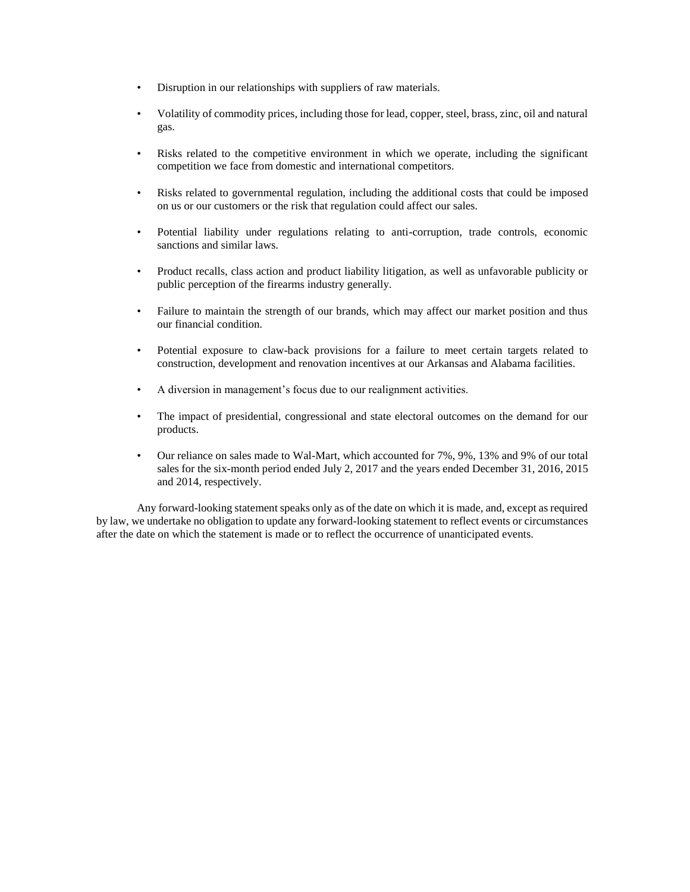- Disruption in our relationships with suppliers of raw materials.
- Volatility of commodity prices, including those for lead, copper, steel, brass, zinc, oil and natural gas.
- Risks related to the competitive environment in which we operate, including the significant competition we face from domestic and international competitors.
- Risks related to governmental regulation, including the additional costs that could be imposed on us or our customers or the risk that regulation could affect our sales.
- Potential liability under regulations relating to anti-corruption, trade controls, economic sanctions and similar laws.
- Product recalls, class action and product liability litigation, as well as unfavorable publicity or public perception of the firearms industry generally.
- Failure to maintain the strength of our brands, which may affect our market position and thus our financial condition.
- Potential exposure to claw-back provisions for a failure to meet certain targets related to construction, development and renovation incentives at our Arkansas and Alabama facilities.
- A diversion in management's focus due to our realignment activities.
- The impact of presidential, congressional and state electoral outcomes on the demand for our products.
- Our reliance on sales made to Wal-Mart, which accounted for 7%, 9%, 13% and 9% of our total sales for the six-month period ended July 2, 2017 and the years ended December 31, 2016, 2015 and 2014, respectively.

Any forward-looking statement speaks only as of the date on which it is made, and, except as required by law, we undertake no obligation to update any forward-looking statement to reflect events or circumstances after the date on which the statement is made or to reflect the occurrence of unanticipated events.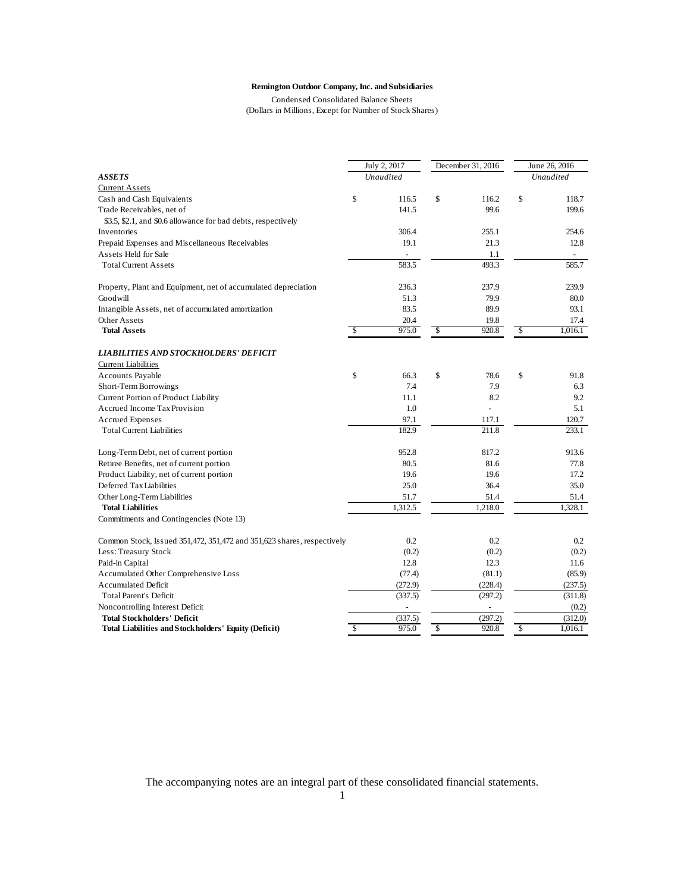# **Remington Outdoor Company, Inc. and Subsidiaries**

(Dollars in Millions, Except for Number of Stock Shares) Condensed Consolidated Balance Sheets

|                                                                        | July 2, 2017 |                          | December 31, 2016 | June 26, 2016            |                |  |
|------------------------------------------------------------------------|--------------|--------------------------|-------------------|--------------------------|----------------|--|
| <b>ASSETS</b>                                                          | Unaudited    |                          |                   |                          | Unaudited      |  |
| <b>Current Assets</b>                                                  |              |                          |                   |                          |                |  |
| Cash and Cash Equivalents                                              | \$<br>116.5  | \$                       | 116.2             | \$                       | 118.7          |  |
| Trade Receivables, net of                                              | 141.5        |                          | 99.6              |                          | 199.6          |  |
| \$3.5, \$2.1, and \$0.6 allowance for bad debts, respectively          |              |                          |                   |                          |                |  |
| Inventories                                                            | 306.4        |                          | 255.1             |                          | 254.6          |  |
| Prepaid Expenses and Miscellaneous Receivables                         | 19.1         |                          | 21.3              |                          | 12.8           |  |
| Assets Held for Sale                                                   |              |                          | 1.1               |                          | $\blacksquare$ |  |
| <b>Total Current Assets</b>                                            | 583.5        |                          | 493.3             |                          | 585.7          |  |
| Property, Plant and Equipment, net of accumulated depreciation         | 236.3        |                          | 237.9             |                          | 239.9          |  |
| Goodwill                                                               | 51.3         |                          | 79.9              |                          | 80.0           |  |
| Intangible Assets, net of accumulated amortization                     | 83.5         |                          | 89.9              |                          | 93.1           |  |
| Other Assets                                                           | 20.4         |                          | 19.8              |                          | 17.4           |  |
| <b>Total Assets</b>                                                    | \$<br>975.0  | $\overline{\mathcal{S}}$ | 920.8             | $\overline{\mathcal{S}}$ | 1,016.1        |  |
| <b>LIABILITIES AND STOCKHOLDERS' DEFICIT</b>                           |              |                          |                   |                          |                |  |
| <b>Current Liabilities</b>                                             |              |                          |                   |                          |                |  |
| Accounts Payable                                                       | \$<br>66.3   | \$                       | 78.6              | \$                       | 91.8           |  |
| Short-Term Borrowings                                                  | 7.4          |                          | 7.9               |                          | 6.3            |  |
| Current Portion of Product Liability                                   | 11.1         |                          | 8.2               |                          | 9.2            |  |
| Accrued Income Tax Provision                                           | 1.0          |                          |                   |                          | 5.1            |  |
| <b>Accrued Expenses</b>                                                | 97.1         |                          | 117.1             |                          | 120.7          |  |
| <b>Total Current Liabilities</b>                                       | 182.9        |                          | 211.8             |                          | 233.1          |  |
| Long-Term Debt, net of current portion                                 | 952.8        |                          | 817.2             |                          | 913.6          |  |
| Retiree Benefits, net of current portion                               | 80.5         |                          | 81.6              |                          | 77.8           |  |
| Product Liability, net of current portion                              | 19.6         |                          | 19.6              |                          | 17.2           |  |
| Deferred Tax Liabilities                                               | 25.0         |                          | 36.4              |                          | 35.0           |  |
| Other Long-Term Liabilities                                            | 51.7         |                          | 51.4              |                          | 51.4           |  |
| <b>Total Liabilities</b>                                               | 1,312.5      |                          | 1,218.0           |                          | 1,328.1        |  |
| Commitments and Contingencies (Note 13)                                |              |                          |                   |                          |                |  |
| Common Stock, Issued 351,472, 351,472 and 351,623 shares, respectively | 0.2          |                          | 0.2               |                          | 0.2            |  |
| Less: Treasury Stock                                                   | (0.2)        |                          | (0.2)             |                          | (0.2)          |  |
| Paid-in Capital                                                        | 12.8         |                          | 12.3              |                          | 11.6           |  |
| Accumulated Other Comprehensive Loss                                   | (77.4)       |                          | (81.1)            |                          | (85.9)         |  |
| <b>Accumulated Deficit</b>                                             | (272.9)      |                          | (228.4)           |                          | (237.5)        |  |
| <b>Total Parent's Deficit</b>                                          | (337.5)      |                          | (297.2)           |                          | (311.8)        |  |
| Noncontrolling Interest Deficit                                        |              |                          |                   |                          | (0.2)          |  |
| <b>Total Stockholders' Deficit</b>                                     | (337.5)      |                          | (297.2)           |                          | (312.0)        |  |
| <b>Total Liabilities and Stockholders' Equity (Deficit)</b>            | \$<br>975.0  | \$                       | 920.8             | \$                       | 1,016.1        |  |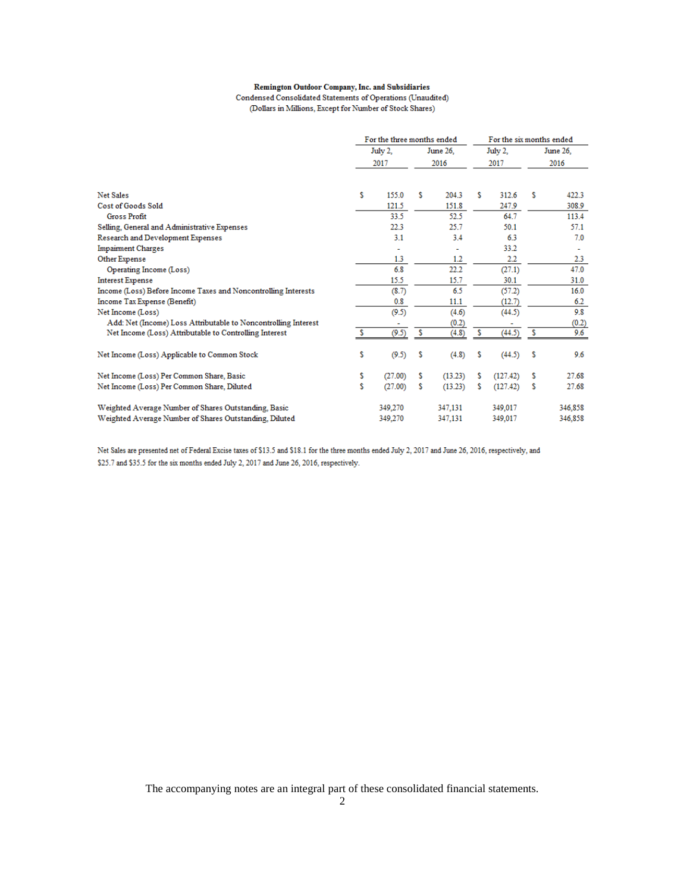# Remington Outdoor Company, Inc. and Subsidiaries

Condensed Consolidated Statements of Operations (Unaudited) (Dollars in Millions, Except for Number of Stock Shares)

|                                                                |    | For the three months ended |   |                | For the six months ended |          |      |          |
|----------------------------------------------------------------|----|----------------------------|---|----------------|--------------------------|----------|------|----------|
|                                                                |    | July 2.                    |   | June 26.       |                          | July 2.  |      | June 26, |
|                                                                |    | 2017                       |   | 2016           | 2017                     |          | 2016 |          |
|                                                                |    |                            |   |                |                          |          |      |          |
| Net Sales                                                      | Ŝ  | 155.0                      | s | 204.3          | s                        | 312.6    | s    | 422.3    |
| Cost of Goods Sold                                             |    | 121.5                      |   | 151.8          |                          | 247.9    |      | 308.9    |
| <b>Gross Profit</b>                                            |    | 33.5                       |   | 52.5           |                          | 64.7     |      | 113.4    |
| Selling, General and Administrative Expenses                   |    | 22.3                       |   | 25.7           |                          | 50.1     |      | 57.1     |
| Research and Development Expenses                              |    | 3.1                        |   | 3.4            |                          | 6.3      |      | 7.0      |
| <b>Impairment Charges</b>                                      |    | $\overline{\phantom{a}}$   |   | $\blacksquare$ |                          | 33.2     |      |          |
| Other Expense                                                  |    | 1.3                        |   | 1.2            |                          | 2.2      |      | $2.3\,$  |
| Operating Income (Loss)                                        |    | 6.8                        |   | 22.2           |                          | (27.1)   |      | 47.0     |
| <b>Interest Expense</b>                                        |    | 15.5                       |   | 15.7           |                          | 30.1     |      | 31.0     |
| Income (Loss) Before Income Taxes and Noncontrolling Interests |    | (8.7)                      |   | 6.5            |                          | (57.2)   |      | 16.0     |
| Income Tax Expense (Benefit)                                   |    | 0.8                        |   | 11.1           |                          | (12.7)   |      | 6.2      |
| Net Income (Loss)                                              |    | (9.5)                      |   | (4.6)          |                          | (44.5)   |      | 9.8      |
| Add: Net (Income) Loss Attributable to Noncontrolling Interest |    |                            |   | (0.2)          |                          |          |      | (0.2)    |
| Net Income (Loss) Attributable to Controlling Interest         | s  | (9.5)                      | s | (4.8)          | s                        | (44.5)   | s    | 9.6      |
| Net Income (Loss) Applicable to Common Stock                   | \$ | (9.5)                      | s | (4.8)          | s                        | (44.5)   | s    | 9.6      |
| Net Income (Loss) Per Common Share, Basic                      | \$ | (27.00)                    | s | (13.23)        | s                        | (127.42) | s    | 27.68    |
| Net Income (Loss) Per Common Share, Diluted                    | \$ | (27.00)                    | s | (13.23)        | s                        | (127.42) | s    | 27.68    |
| Weighted Average Number of Shares Outstanding, Basic           |    | 349,270                    |   | 347,131        |                          | 349,017  |      | 346,858  |
| Weighted Average Number of Shares Outstanding, Diluted         |    | 349,270                    |   | 347,131        |                          | 349,017  |      | 346,858  |

Net Sales are presented net of Federal Excise taxes of \$13.5 and \$18.1 for the three months ended July 2, 2017 and June 26, 2016, respectively, and \$25.7 and \$35.5 for the six months ended July 2, 2017 and June 26, 2016, respectively.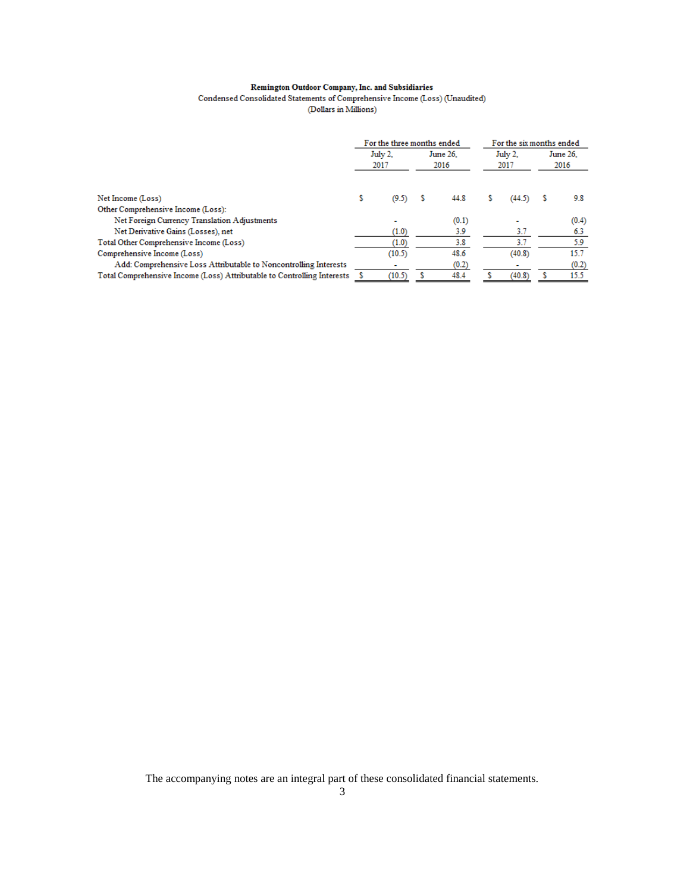# ${\bf Remington\,Outdoor\, Company, Inc.\,and\,Subsidaries}$  <br> Condensed Consolidated Statements of Comprehensive Income (Loss) (Unaudited) (Dollars in Millions)

|                                                                         | For the three months ended |        |                  |       |                 |        | For the six months ended |       |
|-------------------------------------------------------------------------|----------------------------|--------|------------------|-------|-----------------|--------|--------------------------|-------|
|                                                                         | July 2.<br>2017            |        | June 26.<br>2016 |       | July 2.<br>2017 |        | June 26.<br>2016         |       |
| Net Income (Loss)                                                       | s                          | (9.5)  |                  | 44.8  |                 | (44.5) |                          | 9.8   |
| Other Comprehensive Income (Loss):                                      |                            |        |                  |       |                 |        |                          |       |
| Net Foreign Currency Translation Adjustments                            |                            | ۰      |                  | (0.1) |                 |        |                          | (0.4) |
| Net Derivative Gains (Losses), net                                      |                            | (1.0)  |                  | 3.9   |                 | 3.7    |                          | 6.3   |
| Total Other Comprehensive Income (Loss)                                 |                            | (1.0)  |                  | 3.8   |                 | 3.7    |                          | 5.9   |
| Comprehensive Income (Loss)                                             |                            | (10.5) |                  | 48.6  |                 | (40.8) |                          | 15.7  |
| Add: Comprehensive Loss Attributable to Noncontrolling Interests        |                            |        |                  | (0.2) |                 |        |                          | (0.2) |
| Total Comprehensive Income (Loss) Attributable to Controlling Interests |                            | (10.5) |                  | 48.4  |                 | (40.8) |                          | 15.5  |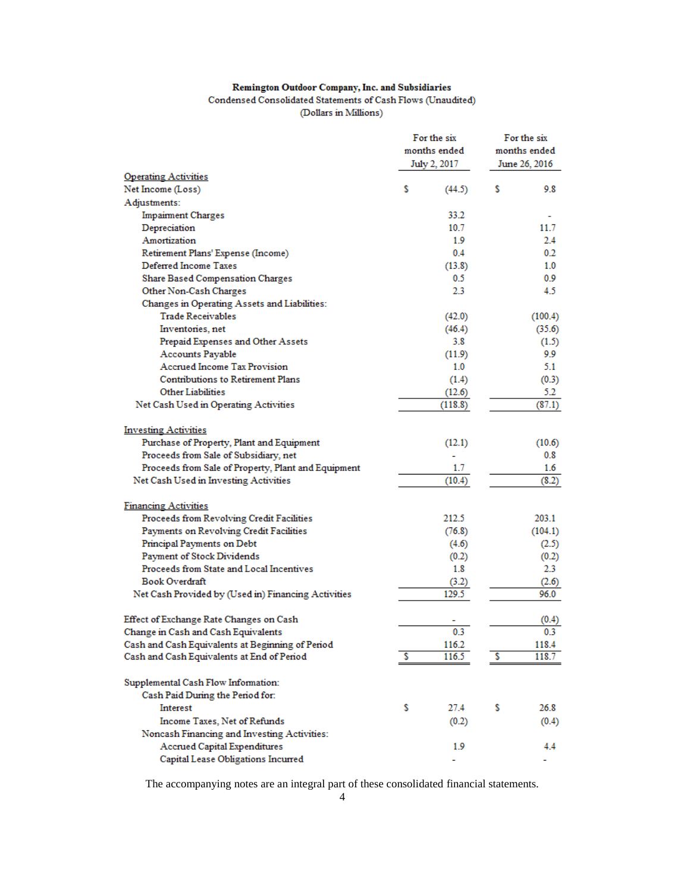# **Remington Outdoor Company, Inc. and Subsidiaries**

Condensed Consolidated Statements of Cash Flows (Unaudited) (Dollars in Millions)

|                                                     |    | For the six<br>months ended<br>July 2, 2017 |   | For the six<br>months ended<br>June 26, 2016 |
|-----------------------------------------------------|----|---------------------------------------------|---|----------------------------------------------|
| <b>Operating Activities</b>                         |    |                                             |   |                                              |
| Net Income (Loss)                                   | \$ | (44.5)                                      | s | 9.8                                          |
| Adjustments:                                        |    |                                             |   |                                              |
| <b>Impairment Charges</b>                           |    | 33.2                                        |   |                                              |
| Depreciation                                        |    | 10.7                                        |   | 11.7                                         |
| Amortization                                        |    | 1.9                                         |   | 2.4                                          |
| Retirement Plans' Expense (Income)                  |    | 0.4                                         |   | 0.2                                          |
| Deferred Income Taxes                               |    | (13.8)                                      |   | 1.0                                          |
| <b>Share Based Compensation Charges</b>             |    | 0.5                                         |   | 0.9                                          |
| Other Non-Cash Charges                              |    | 2.3                                         |   | 4.5                                          |
| Changes in Operating Assets and Liabilities:        |    |                                             |   |                                              |
| <b>Trade Receivables</b>                            |    | (42.0)                                      |   | (100.4)                                      |
| Inventories, net                                    |    | (46.4)                                      |   | (35.6)                                       |
| Prepaid Expenses and Other Assets                   |    | 3.8                                         |   | (1.5)                                        |
| Accounts Payable                                    |    | (11.9)                                      |   | 9.9                                          |
| <b>Accrued Income Tax Provision</b>                 |    | 1.0                                         |   | 5.1                                          |
| <b>Contributions to Retirement Plans</b>            |    | (1.4)                                       |   | (0.3)                                        |
| <b>Other Liabilities</b>                            |    | (12.6)                                      |   | 5.2                                          |
| Net Cash Used in Operating Activities               |    | (118.8)                                     |   | (87.1)                                       |
|                                                     |    |                                             |   |                                              |
| <b>Investing Activities</b>                         |    |                                             |   |                                              |
| Purchase of Property, Plant and Equipment           |    | (12.1)                                      |   | (10.6)                                       |
| Proceeds from Sale of Subsidiary, net               |    |                                             |   | 0.8                                          |
| Proceeds from Sale of Property, Plant and Equipment |    | 1.7                                         |   | 1.6                                          |
| Net Cash Used in Investing Activities               |    | (10.4)                                      |   | (8.2)                                        |
|                                                     |    |                                             |   |                                              |
| <b>Financing Activities</b>                         |    |                                             |   |                                              |
| Proceeds from Revolving Credit Facilities           |    | 212.5                                       |   | 203.1                                        |
| Payments on Revolving Credit Facilities             |    | (76.8)                                      |   | (104.1)                                      |
| Principal Payments on Debt                          |    | (4.6)                                       |   | (2.5)                                        |
| Payment of Stock Dividends                          |    | (0.2)                                       |   | (0.2)                                        |
| Proceeds from State and Local Incentives            |    | 1.8                                         |   | 2.3                                          |
| Book Overdraft                                      |    | (3.2)                                       |   | (2.6)                                        |
| Net Cash Provided by (Used in) Financing Activities |    | 129.5                                       |   | 96.0                                         |
|                                                     |    |                                             |   |                                              |
| Effect of Exchange Rate Changes on Cash             |    |                                             |   | (0.4)                                        |
| Change in Cash and Cash Equivalents                 |    | 0.3                                         |   | 0.3                                          |
| Cash and Cash Equivalents at Beginning of Period    |    | 116.2                                       |   | 118.4                                        |
| Cash and Cash Equivalents at End of Period          | s  | 116.5                                       | s | 118.7                                        |
|                                                     |    |                                             |   |                                              |
| Supplemental Cash Flow Information:                 |    |                                             |   |                                              |
| Cash Paid During the Period for:                    |    |                                             |   |                                              |
| Interest                                            | s  | 27.4                                        | s | 26.8                                         |
| Income Taxes, Net of Refunds                        |    | (0.2)                                       |   | (0.4)                                        |
| Noncash Financing and Investing Activities:         |    |                                             |   |                                              |
| Accrued Capital Expenditures                        |    | 1.9                                         |   | 4.4                                          |
| Capital Lease Obligations Incurred                  |    |                                             |   |                                              |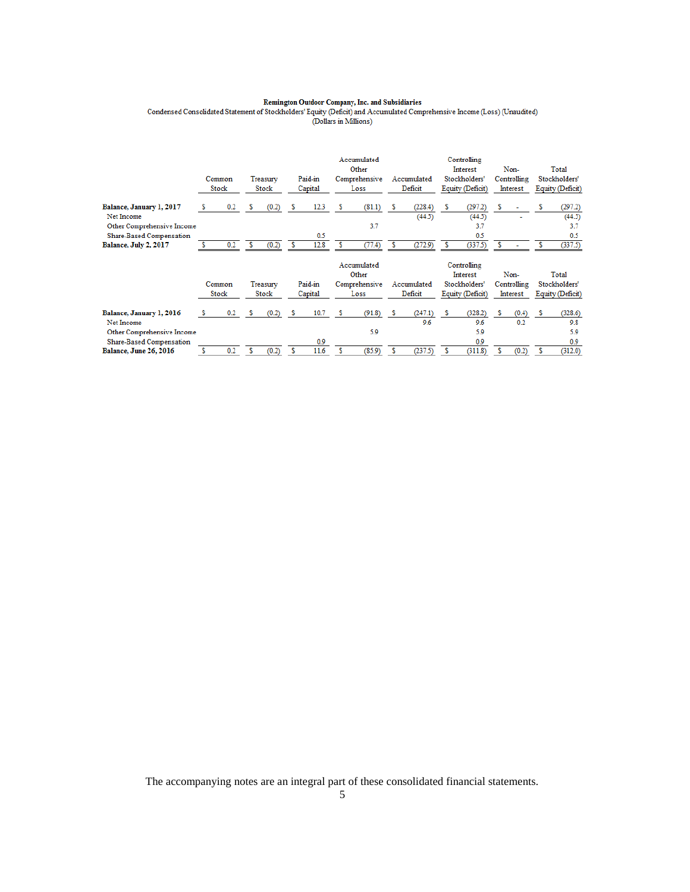$\begin{minip} \textbf{Remington Outdoor Company, Inc. and Subsidaries} \\ \textbf{Condensed Considered Statement of Stockholders' Equity (Deficit) and Accumulated Computers University (D. 1).}\\ \textbf{(Dollars in Milions)} \end{minip}$ 

|                                                           |     | Common<br>Stock |   | Treasury<br>Stock |   | Paid-in<br>Capital |   | Accumulated<br>Other<br>Comprehensive<br>Loss |   | Accumulated<br>Deficit |   | Controlling<br>Interest<br>Stockholders'<br>Equity (Deficit) |   | Non-<br>Controlling<br>Interest |   | Total<br>Stockholders'<br>Equity (Deficit) |
|-----------------------------------------------------------|-----|-----------------|---|-------------------|---|--------------------|---|-----------------------------------------------|---|------------------------|---|--------------------------------------------------------------|---|---------------------------------|---|--------------------------------------------|
| Balance, January 1, 2017<br>Net Income                    | s   | 0.2             | s | (0.2)             | s | 12.3               | s | (81.1)                                        | s | (228.4)<br>(44.5)      | s | (297.2)<br>(44.5)                                            | s |                                 | s | (297.2)<br>(44.5)                          |
| Other Comprehensive Income                                |     |                 |   |                   |   |                    |   | 3.7                                           |   |                        |   | 3.7                                                          |   |                                 |   | 3.7                                        |
| Share-Based Compensation                                  |     |                 |   |                   |   | 0.5                |   |                                               |   |                        |   | 0.5                                                          |   |                                 |   | 0.5                                        |
| Balance, July 2, 2017                                     |     | 0.2             | s | (0.2)             | s | 12.8               | s | (77.4)                                        | s | (272.9)                | s | (337.5)                                                      | s |                                 |   | (337.5)                                    |
|                                                           |     |                 |   |                   |   |                    |   | Accumulated                                   |   |                        |   | Controlling                                                  |   |                                 |   |                                            |
|                                                           |     |                 |   |                   |   |                    |   | Other                                         |   |                        |   | <b>Interest</b>                                              |   | Non-                            |   | Total                                      |
|                                                           |     | Common          |   | Treasurv          |   | Paid-in            |   | Comprehensive                                 |   | Accumulated            |   | Stockholders'                                                |   | Controlling                     |   | Stockholders'                              |
|                                                           |     | Stock           |   | Stock             |   | Capital            |   | Loss                                          |   | Deficit                |   | Equity (Deficit)                                             |   | Interest                        |   | Equity (Deficit)                           |
| Balance, January 1, 2016                                  | -S. | 0.2             | s | (0.2)             |   | 10.7               |   | (91.8)                                        |   | (247.1)                |   | (328.2)                                                      |   | (0.4)                           | s | (328.6)                                    |
| Net Income                                                |     |                 |   |                   |   |                    |   |                                               |   | 9.6                    |   | 9.6                                                          |   | 0.2                             |   | 9.8                                        |
| Other Comprehensive Income                                |     |                 |   |                   |   |                    |   | 5.9                                           |   |                        |   | 5.9                                                          |   |                                 |   | 5.9                                        |
| Share-Based Compensation<br><b>Balance, June 26, 2016</b> |     |                 |   |                   |   | 0.9                |   |                                               |   |                        |   | 0.9                                                          |   |                                 |   | 0.9                                        |
|                                                           |     | 0.2             | s | (0.2)             | s | 11.6               |   | (85.9)                                        | s | (237.5)                | s | (311.8)                                                      |   | (0.2)                           | s | (312.0)                                    |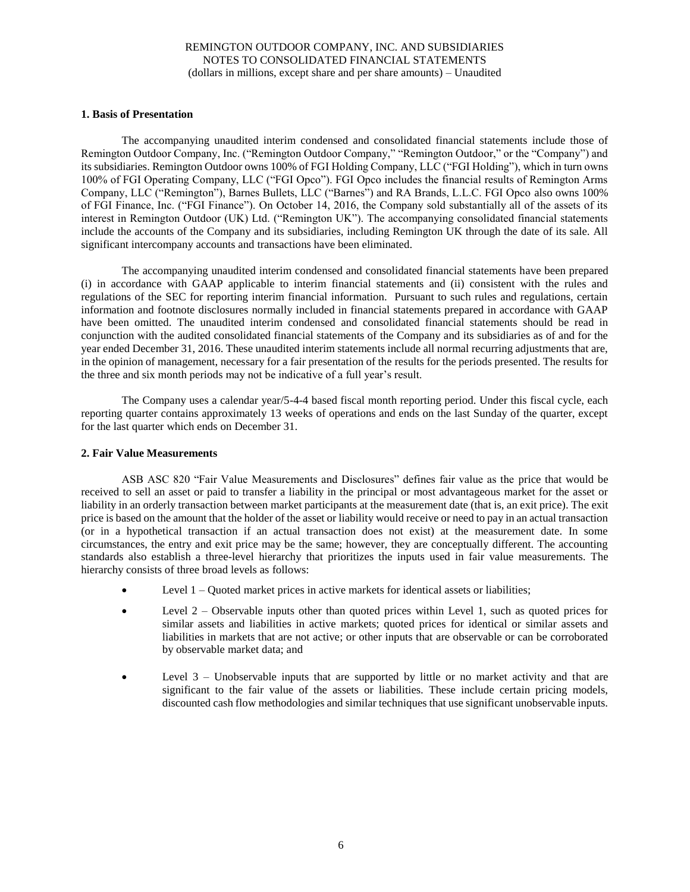# **1. Basis of Presentation**

The accompanying unaudited interim condensed and consolidated financial statements include those of Remington Outdoor Company, Inc. ("Remington Outdoor Company," "Remington Outdoor," or the "Company") and its subsidiaries. Remington Outdoor owns 100% of FGI Holding Company, LLC ("FGI Holding"), which in turn owns 100% of FGI Operating Company, LLC ("FGI Opco"). FGI Opco includes the financial results of Remington Arms Company, LLC ("Remington"), Barnes Bullets, LLC ("Barnes") and RA Brands, L.L.C. FGI Opco also owns 100% of FGI Finance, Inc. ("FGI Finance"). On October 14, 2016, the Company sold substantially all of the assets of its interest in Remington Outdoor (UK) Ltd. ("Remington UK"). The accompanying consolidated financial statements include the accounts of the Company and its subsidiaries, including Remington UK through the date of its sale. All significant intercompany accounts and transactions have been eliminated.

The accompanying unaudited interim condensed and consolidated financial statements have been prepared (i) in accordance with GAAP applicable to interim financial statements and (ii) consistent with the rules and regulations of the SEC for reporting interim financial information. Pursuant to such rules and regulations, certain information and footnote disclosures normally included in financial statements prepared in accordance with GAAP have been omitted. The unaudited interim condensed and consolidated financial statements should be read in conjunction with the audited consolidated financial statements of the Company and its subsidiaries as of and for the year ended December 31, 2016. These unaudited interim statements include all normal recurring adjustments that are, in the opinion of management, necessary for a fair presentation of the results for the periods presented. The results for the three and six month periods may not be indicative of a full year's result.

The Company uses a calendar year/5-4-4 based fiscal month reporting period. Under this fiscal cycle, each reporting quarter contains approximately 13 weeks of operations and ends on the last Sunday of the quarter, except for the last quarter which ends on December 31.

# **2. Fair Value Measurements**

ASB ASC 820 "Fair Value Measurements and Disclosures" defines fair value as the price that would be received to sell an asset or paid to transfer a liability in the principal or most advantageous market for the asset or liability in an orderly transaction between market participants at the measurement date (that is, an exit price). The exit price is based on the amount that the holder of the asset or liability would receive or need to pay in an actual transaction (or in a hypothetical transaction if an actual transaction does not exist) at the measurement date. In some circumstances, the entry and exit price may be the same; however, they are conceptually different. The accounting standards also establish a three-level hierarchy that prioritizes the inputs used in fair value measurements. The hierarchy consists of three broad levels as follows:

- Level 1 Quoted market prices in active markets for identical assets or liabilities;
- Level 2 Observable inputs other than quoted prices within Level 1, such as quoted prices for similar assets and liabilities in active markets; quoted prices for identical or similar assets and liabilities in markets that are not active; or other inputs that are observable or can be corroborated by observable market data; and
- Level  $3$  Unobservable inputs that are supported by little or no market activity and that are significant to the fair value of the assets or liabilities. These include certain pricing models, discounted cash flow methodologies and similar techniques that use significant unobservable inputs.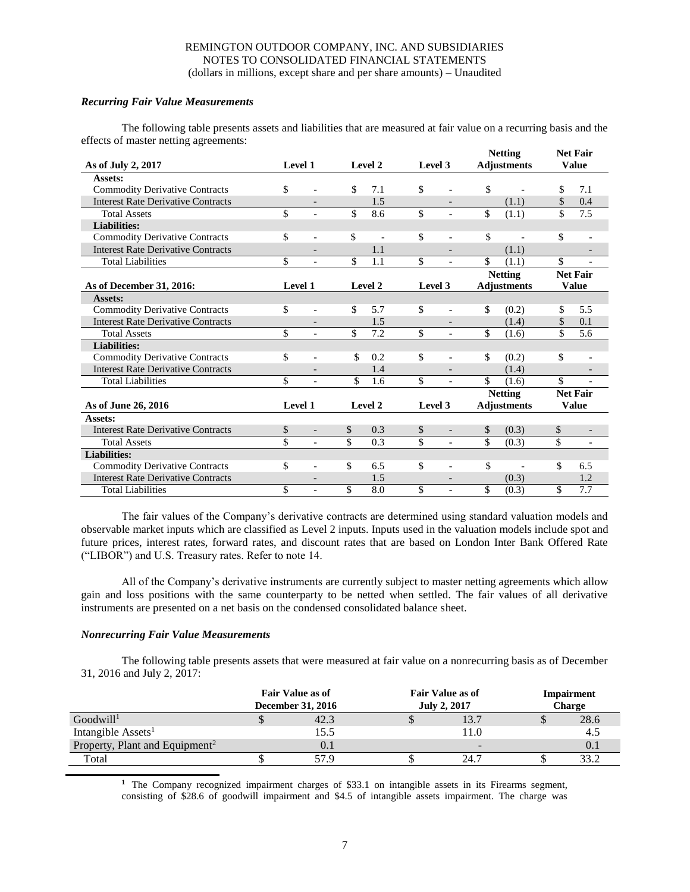# *Recurring Fair Value Measurements*

The following table presents assets and liabilities that are measured at fair value on a recurring basis and the effects of master netting agreements:

|                                           |         |                          |           |                          |                          | <b>Netting</b>     |                          | <b>Net Fair</b> |                          |
|-------------------------------------------|---------|--------------------------|-----------|--------------------------|--------------------------|--------------------|--------------------------|-----------------|--------------------------|
| As of July 2, 2017                        | Level 1 |                          | Level 2   | Level 3                  |                          |                    | <b>Adjustments</b>       |                 | <b>Value</b>             |
| Assets:                                   |         |                          |           |                          |                          |                    |                          |                 |                          |
| <b>Commodity Derivative Contracts</b>     | \$      |                          | \$<br>7.1 | \$                       |                          | \$                 |                          | \$              | 7.1                      |
| <b>Interest Rate Derivative Contracts</b> |         |                          | 1.5       |                          |                          |                    | (1.1)                    | \$              | 0.4                      |
| <b>Total Assets</b>                       | \$      | $\overline{\phantom{a}}$ | \$<br>8.6 | $\overline{\mathcal{S}}$ | $\overline{\phantom{a}}$ | \$                 | (1.1)                    | \$              | 7.5                      |
| <b>Liabilities:</b>                       |         |                          |           |                          |                          |                    |                          |                 |                          |
| <b>Commodity Derivative Contracts</b>     | \$      | $\overline{\phantom{a}}$ | \$        | \$                       | $\overline{\phantom{a}}$ | \$                 |                          | \$              | $\overline{\phantom{a}}$ |
| <b>Interest Rate Derivative Contracts</b> |         |                          | 1.1       |                          | $\overline{\phantom{0}}$ |                    | (1.1)                    |                 |                          |
| <b>Total Liabilities</b>                  | \$      |                          | \$<br>1.1 | \$                       | $\overline{\phantom{a}}$ | \$                 | (1.1)                    | \$              |                          |
|                                           |         |                          |           |                          |                          |                    | <b>Netting</b>           |                 | <b>Net Fair</b>          |
| As of December 31, 2016:                  | Level 1 |                          | Level 2   | Level 3                  |                          | <b>Adjustments</b> |                          |                 | <b>Value</b>             |
| Assets:                                   |         |                          |           |                          |                          |                    |                          |                 |                          |
| <b>Commodity Derivative Contracts</b>     | \$      |                          | \$<br>5.7 | \$                       | $\overline{a}$           | \$                 | (0.2)                    | \$              | 5.5                      |
| <b>Interest Rate Derivative Contracts</b> |         |                          | 1.5       |                          | $\qquad \qquad -$        |                    | (1.4)                    | \$              | 0.1                      |
| <b>Total Assets</b>                       | \$      |                          | \$<br>7.2 | \$                       | $\overline{\phantom{a}}$ | \$                 | (1.6)                    | $\overline{\$}$ | 5.6                      |
| <b>Liabilities:</b>                       |         |                          |           |                          |                          |                    |                          |                 |                          |
| <b>Commodity Derivative Contracts</b>     | \$      | $\overline{a}$           | \$<br>0.2 | \$                       | $\overline{a}$           | \$                 | (0.2)                    | \$              | $\overline{a}$           |
| <b>Interest Rate Derivative Contracts</b> |         |                          | 1.4       |                          |                          |                    | (1.4)                    |                 |                          |
| <b>Total Liabilities</b>                  | \$      | $\blacksquare$           | \$<br>1.6 | \$                       | $\overline{\phantom{a}}$ | \$                 | (1.6)                    | \$              | $\overline{\phantom{a}}$ |
|                                           |         |                          |           |                          |                          |                    | <b>Netting</b>           |                 | <b>Net Fair</b>          |
| As of June 26, 2016                       | Level 1 |                          | Level 2   | Level 3                  |                          |                    | <b>Adjustments</b>       |                 | <b>Value</b>             |
| Assets:                                   |         |                          |           |                          |                          |                    |                          |                 |                          |
| <b>Interest Rate Derivative Contracts</b> | \$      | $\overline{a}$           | \$<br>0.3 | \$                       | $\overline{\phantom{0}}$ | \$                 | (0.3)                    | \$              | $\overline{\phantom{a}}$ |
| <b>Total Assets</b>                       | \$      | $\overline{a}$           | \$<br>0.3 | \$                       | $\blacksquare$           | \$                 | (0.3)                    | \$              | $\overline{\phantom{a}}$ |
| <b>Liabilities:</b>                       |         |                          |           |                          |                          |                    |                          |                 |                          |
| <b>Commodity Derivative Contracts</b>     | \$      | $\overline{a}$           | \$<br>6.5 | \$                       | $\overline{a}$           | \$                 | $\overline{\phantom{a}}$ | \$              | 6.5                      |
| <b>Interest Rate Derivative Contracts</b> |         | $\overline{\phantom{0}}$ | 1.5       |                          | $\qquad \qquad -$        |                    | (0.3)                    |                 | 1.2                      |
| <b>Total Liabilities</b>                  | \$      |                          | \$<br>8.0 | \$                       | $\overline{\phantom{a}}$ | \$                 | (0.3)                    | \$              | 7.7                      |

The fair values of the Company's derivative contracts are determined using standard valuation models and observable market inputs which are classified as Level 2 inputs. Inputs used in the valuation models include spot and future prices, interest rates, forward rates, and discount rates that are based on London Inter Bank Offered Rate ("LIBOR") and U.S. Treasury rates. Refer to note 14.

All of the Company's derivative instruments are currently subject to master netting agreements which allow gain and loss positions with the same counterparty to be netted when settled. The fair values of all derivative instruments are presented on a net basis on the condensed consolidated balance sheet.

# *Nonrecurring Fair Value Measurements*

The following table presents assets that were measured at fair value on a nonrecurring basis as of December 31, 2016 and July 2, 2017:

|                                            | <b>Fair Value as of</b><br><b>December 31, 2016</b> | <b>Fair Value as of</b><br><b>July 2, 2017</b> |                          | Impairment<br><b>Charge</b> |
|--------------------------------------------|-----------------------------------------------------|------------------------------------------------|--------------------------|-----------------------------|
| Goodwill <sup>1</sup>                      | 42.3                                                |                                                | 13.7                     | 28.6                        |
| Intangible Assets <sup>1</sup>             | 15.5                                                |                                                | 11.0                     | 4.5                         |
| Property, Plant and Equipment <sup>2</sup> | 0.1                                                 |                                                | $\overline{\phantom{a}}$ | 0.1                         |
| Total                                      | 57.9                                                |                                                | 24.7                     | 33.2                        |

**<sup>1</sup>** The Company recognized impairment charges of \$33.1 on intangible assets in its Firearms segment, consisting of \$28.6 of goodwill impairment and \$4.5 of intangible assets impairment. The charge was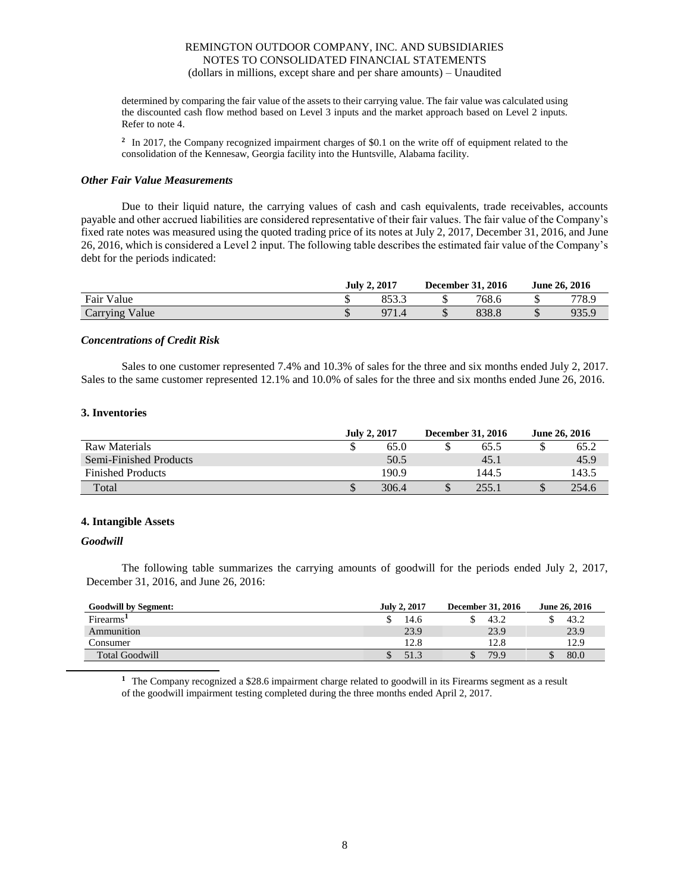determined by comparing the fair value of the assets to their carrying value. The fair value was calculated using the discounted cash flow method based on Level 3 inputs and the market approach based on Level 2 inputs. Refer to note 4.

<sup>2</sup> In 2017, the Company recognized impairment charges of \$0.1 on the write off of equipment related to the consolidation of the Kennesaw, Georgia facility into the Huntsville, Alabama facility.

#### *Other Fair Value Measurements*

Due to their liquid nature, the carrying values of cash and cash equivalents, trade receivables, accounts payable and other accrued liabilities are considered representative of their fair values. The fair value of the Company's fixed rate notes was measured using the quoted trading price of its notes at July 2, 2017, December 31, 2016, and June 26, 2016, which is considered a Level 2 input. The following table describes the estimated fair value of the Company's debt for the periods indicated:

|                | <b>July 2, 2017</b> | December 31, 2016 | June 26, 2016 |       |  |
|----------------|---------------------|-------------------|---------------|-------|--|
| Fair Value     | 052C                | 768.6             |               | 778.9 |  |
| Carrying Value | 07                  | 838.8             |               | 035 C |  |

# *Concentrations of Credit Risk*

Sales to one customer represented 7.4% and 10.3% of sales for the three and six months ended July 2, 2017. Sales to the same customer represented 12.1% and 10.0% of sales for the three and six months ended June 26, 2016.

#### **3. Inventories**

|                          | <b>July 2, 2017</b> |       |  | <b>December 31, 2016</b> | <b>June 26, 2016</b> |       |
|--------------------------|---------------------|-------|--|--------------------------|----------------------|-------|
| Raw Materials            | S                   | 65.0  |  | 65.5                     |                      | 65.2  |
| Semi-Finished Products   |                     | 50.5  |  | 45.1                     |                      | 45.9  |
| <b>Finished Products</b> |                     | 190.9 |  | 144.5                    |                      | 143.5 |
| Total                    | \$                  | 306.4 |  | 255.1                    |                      | 254.6 |

# **4. Intangible Assets**

#### *Goodwill*

The following table summarizes the carrying amounts of goodwill for the periods ended July 2, 2017, December 31, 2016, and June 26, 2016:

| <b>Goodwill by Segment:</b> | <b>July 2, 2017</b> | December 31, 2016 | June 26, 2016 |
|-----------------------------|---------------------|-------------------|---------------|
| Firearms <sup>1</sup>       | 14.6                | 43.2              | 43.2          |
| Ammunition                  | 23.9                | 23.9              | 23.9          |
| Consumer                    | 12.8                | 12.8              | 12.9          |
| <b>Total Goodwill</b>       | 51.3                | 79.9              | 80.0          |

**<sup>1</sup>** The Company recognized a \$28.6 impairment charge related to goodwill in its Firearms segment as a result of the goodwill impairment testing completed during the three months ended April 2, 2017.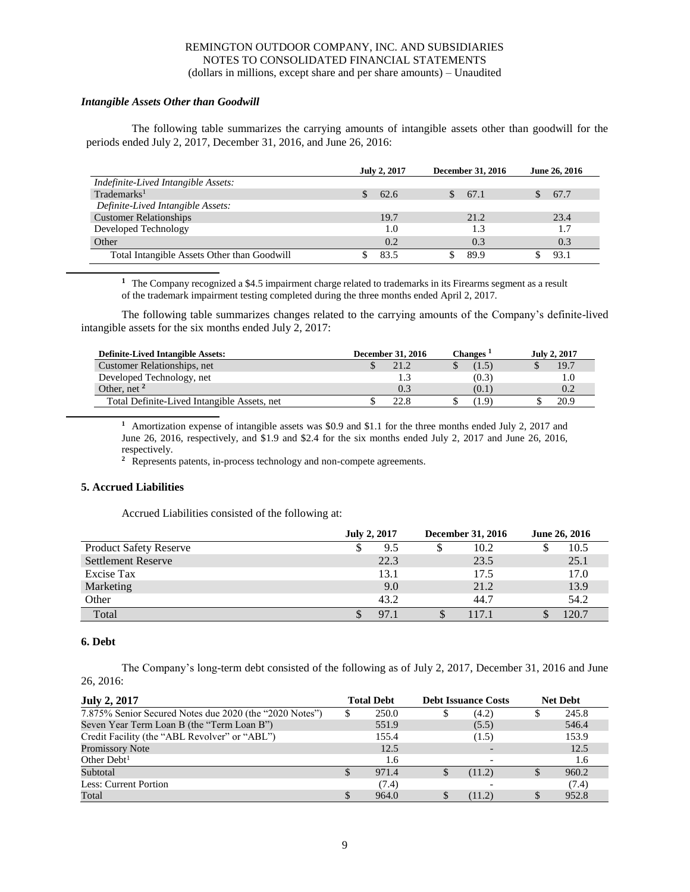# *Intangible Assets Other than Goodwill*

The following table summarizes the carrying amounts of intangible assets other than goodwill for the periods ended July 2, 2017, December 31, 2016, and June 26, 2016:

|                                             | <b>July 2, 2017</b> | December 31, 2016 | June 26, 2016 |
|---------------------------------------------|---------------------|-------------------|---------------|
| Indefinite-Lived Intangible Assets:         |                     |                   |               |
| Trademarks <sup>1</sup>                     | 62.6                | 67.1              | 67.7          |
| Definite-Lived Intangible Assets:           |                     |                   |               |
| <b>Customer Relationships</b>               | 19.7                | 21.2              | 23.4          |
| Developed Technology                        | 1.0                 | 1.3               | 1.7           |
| Other                                       | 0.2                 | 0.3               | 0.3           |
| Total Intangible Assets Other than Goodwill | 83.5                | 89.9              | 93.1          |

**<sup>1</sup>** The Company recognized a \$4.5 impairment charge related to trademarks in its Firearms segment as a result of the trademark impairment testing completed during the three months ended April 2, 2017.

The following table summarizes changes related to the carrying amounts of the Company's definite-lived intangible assets for the six months ended July 2, 2017:

| <b>Definite-Lived Intangible Assets:</b>    | December 31, 2016 | Changes ' | July 2, 2017 |
|---------------------------------------------|-------------------|-----------|--------------|
| Customer Relationships, net                 |                   | (1.5)     | 19.7         |
| Developed Technology, net                   |                   | (0.3)     |              |
| Other, net $2$                              | 0.3               | (0.1)     |              |
| Total Definite-Lived Intangible Assets, net | 22.8              | (1.9)     | 20.9         |

**<sup>1</sup>** Amortization expense of intangible assets was \$0.9 and \$1.1 for the three months ended July 2, 2017 and June 26, 2016, respectively, and \$1.9 and \$2.4 for the six months ended July 2, 2017 and June 26, 2016, respectively.

<sup>2</sup> Represents patents, in-process technology and non-compete agreements.

# **5. Accrued Liabilities**

Accrued Liabilities consisted of the following at:

|                               | <b>July 2, 2017</b> |  | December 31, 2016 |  |       |  | June 26, 2016 |
|-------------------------------|---------------------|--|-------------------|--|-------|--|---------------|
| <b>Product Safety Reserve</b> | 9.5                 |  | 10.2              |  | 10.5  |  |               |
| <b>Settlement Reserve</b>     | 22.3                |  | 23.5              |  | 25.1  |  |               |
| Excise Tax                    | 13.1                |  | 17.5              |  | 17.0  |  |               |
| Marketing                     | 9.0                 |  | 21.2              |  | 13.9  |  |               |
| Other                         | 43.2                |  | 44.7              |  | 54.2  |  |               |
| Total                         | 97.1                |  | 117.1             |  | 120.7 |  |               |

# **6. Debt**

The Company's long-term debt consisted of the following as of July 2, 2017, December 31, 2016 and June 26, 2016:

| <b>July 2, 2017</b>                                     | <b>Total Debt</b> |       | <b>Debt Issuance Costs</b> |        | <b>Net Debt</b> |
|---------------------------------------------------------|-------------------|-------|----------------------------|--------|-----------------|
| 7.875% Senior Secured Notes due 2020 (the "2020 Notes") |                   | 250.0 |                            | (4.2)  | 245.8           |
| Seven Year Term Loan B (the "Term Loan B")              |                   | 551.9 |                            | (5.5)  | 546.4           |
| Credit Facility (the "ABL Revolver" or "ABL")           |                   | 155.4 |                            | (1.5)  | 153.9           |
| <b>Promissory Note</b>                                  |                   | 12.5  |                            |        | 12.5            |
| Other $Debt1$                                           |                   | 1.6   |                            |        | 1.6             |
| Subtotal                                                |                   | 971.4 |                            | (11.2) | 960.2           |
| Less: Current Portion                                   |                   | (7.4) |                            |        | (7.4)           |
| Total                                                   |                   | 964.0 |                            | (11.2) | 952.8           |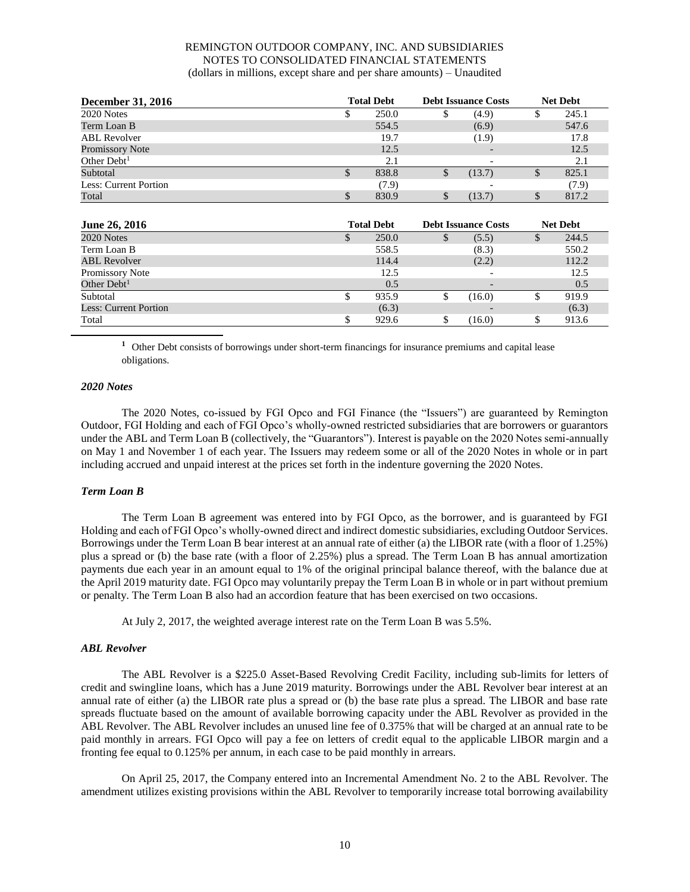| <b>December 31, 2016</b> | <b>Total Debt</b> |       | <b>Debt Issuance Costs</b> |        | <b>Net Debt</b> |       |  |
|--------------------------|-------------------|-------|----------------------------|--------|-----------------|-------|--|
| 2020 Notes               | ъĐ.               | 250.0 |                            | (4.9)  |                 | 245.1 |  |
| Term Loan B              |                   | 554.5 |                            | (6.9)  |                 | 547.6 |  |
| <b>ABL</b> Revolver      |                   | 19.7  |                            | (1.9)  |                 | 17.8  |  |
| Promissory Note          |                   | 12.5  |                            |        |                 | 12.5  |  |
| Other $Debt1$            |                   | 2.1   |                            |        |                 | 2.1   |  |
| Subtotal                 | ъĐ.               | 838.8 | D                          | (13.7) |                 | 825.1 |  |
| Less: Current Portion    |                   | (7.9) |                            |        |                 | (7.9) |  |
| Total                    |                   | 830.9 |                            | (13.7) |                 | 817.2 |  |
|                          |                   |       |                            |        |                 |       |  |

| <b>June 26, 2016</b>         | <b>Total Debt</b> |       | <b>Debt Issuance Costs</b> |                          | <b>Net Debt</b> |       |
|------------------------------|-------------------|-------|----------------------------|--------------------------|-----------------|-------|
| 2020 Notes                   |                   | 250.0 | D                          | (5.5)                    |                 | 244.5 |
| Term Loan B                  |                   | 558.5 |                            | (8.3)                    |                 | 550.2 |
| <b>ABL Revolver</b>          |                   | 114.4 |                            | (2.2)                    |                 | 112.2 |
| Promissory Note              |                   | 12.5  |                            | $\overline{\phantom{0}}$ |                 | 12.5  |
| Other $Debt1$                |                   | 0.5   |                            |                          |                 | 0.5   |
| Subtotal                     | ъ                 | 935.9 | э                          | (16.0)                   |                 | 919.9 |
| <b>Less: Current Portion</b> |                   | (6.3) |                            |                          |                 | (6.3) |
| Total                        |                   | 929.6 |                            | (16.0)                   |                 | 913.6 |

**<sup>1</sup>** Other Debt consists of borrowings under short-term financings for insurance premiums and capital lease obligations.

#### *2020 Notes*

The 2020 Notes, co-issued by FGI Opco and FGI Finance (the "Issuers") are guaranteed by Remington Outdoor, FGI Holding and each of FGI Opco's wholly-owned restricted subsidiaries that are borrowers or guarantors under the ABL and Term Loan B (collectively, the "Guarantors"). Interest is payable on the 2020 Notes semi-annually on May 1 and November 1 of each year. The Issuers may redeem some or all of the 2020 Notes in whole or in part including accrued and unpaid interest at the prices set forth in the indenture governing the 2020 Notes.

# *Term Loan B*

The Term Loan B agreement was entered into by FGI Opco, as the borrower, and is guaranteed by FGI Holding and each of FGI Opco's wholly-owned direct and indirect domestic subsidiaries, excluding Outdoor Services. Borrowings under the Term Loan B bear interest at an annual rate of either (a) the LIBOR rate (with a floor of 1.25%) plus a spread or (b) the base rate (with a floor of 2.25%) plus a spread. The Term Loan B has annual amortization payments due each year in an amount equal to 1% of the original principal balance thereof, with the balance due at the April 2019 maturity date. FGI Opco may voluntarily prepay the Term Loan B in whole or in part without premium or penalty. The Term Loan B also had an accordion feature that has been exercised on two occasions.

At July 2, 2017, the weighted average interest rate on the Term Loan B was 5.5%.

# *ABL Revolver*

The ABL Revolver is a \$225.0 Asset-Based Revolving Credit Facility, including sub-limits for letters of credit and swingline loans, which has a June 2019 maturity. Borrowings under the ABL Revolver bear interest at an annual rate of either (a) the LIBOR rate plus a spread or (b) the base rate plus a spread. The LIBOR and base rate spreads fluctuate based on the amount of available borrowing capacity under the ABL Revolver as provided in the ABL Revolver. The ABL Revolver includes an unused line fee of 0.375% that will be charged at an annual rate to be paid monthly in arrears. FGI Opco will pay a fee on letters of credit equal to the applicable LIBOR margin and a fronting fee equal to 0.125% per annum, in each case to be paid monthly in arrears.

On April 25, 2017, the Company entered into an Incremental Amendment No. 2 to the ABL Revolver. The amendment utilizes existing provisions within the ABL Revolver to temporarily increase total borrowing availability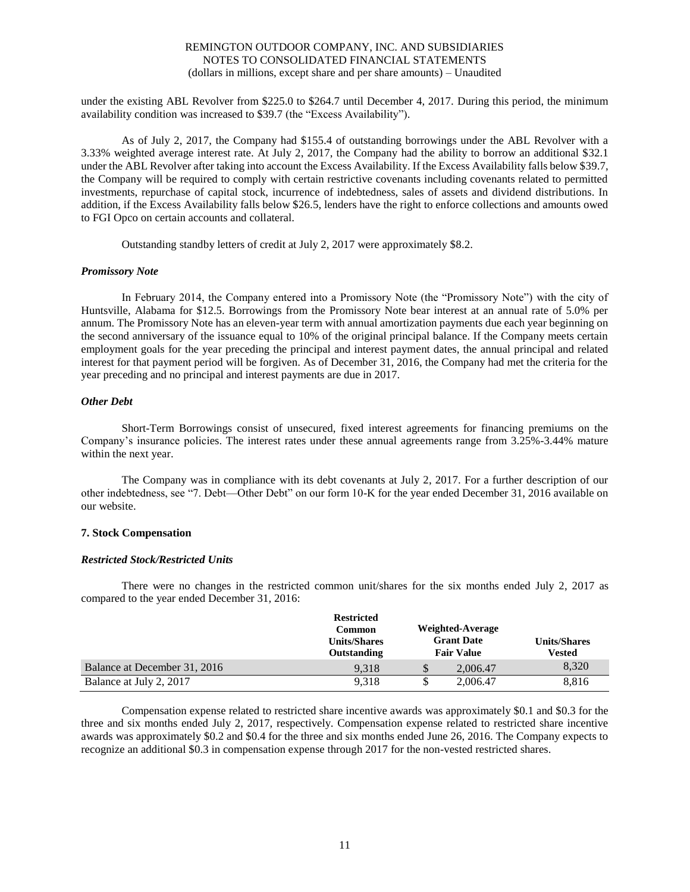under the existing ABL Revolver from \$225.0 to \$264.7 until December 4, 2017. During this period, the minimum availability condition was increased to \$39.7 (the "Excess Availability").

As of July 2, 2017, the Company had \$155.4 of outstanding borrowings under the ABL Revolver with a 3.33% weighted average interest rate. At July 2, 2017, the Company had the ability to borrow an additional \$32.1 under the ABL Revolver after taking into account the Excess Availability. If the Excess Availability falls below \$39.7, the Company will be required to comply with certain restrictive covenants including covenants related to permitted investments, repurchase of capital stock, incurrence of indebtedness, sales of assets and dividend distributions. In addition, if the Excess Availability falls below \$26.5, lenders have the right to enforce collections and amounts owed to FGI Opco on certain accounts and collateral.

Outstanding standby letters of credit at July 2, 2017 were approximately \$8.2.

#### *Promissory Note*

In February 2014, the Company entered into a Promissory Note (the "Promissory Note") with the city of Huntsville, Alabama for \$12.5. Borrowings from the Promissory Note bear interest at an annual rate of 5.0% per annum. The Promissory Note has an eleven-year term with annual amortization payments due each year beginning on the second anniversary of the issuance equal to 10% of the original principal balance. If the Company meets certain employment goals for the year preceding the principal and interest payment dates, the annual principal and related interest for that payment period will be forgiven. As of December 31, 2016, the Company had met the criteria for the year preceding and no principal and interest payments are due in 2017.

#### *Other Debt*

Short-Term Borrowings consist of unsecured, fixed interest agreements for financing premiums on the Company's insurance policies. The interest rates under these annual agreements range from 3.25%-3.44% mature within the next year.

The Company was in compliance with its debt covenants at July 2, 2017. For a further description of our other indebtedness, see "7. Debt—Other Debt" on our form 10-K for the year ended December 31, 2016 available on our website.

# **7. Stock Compensation**

#### *Restricted Stock/Restricted Units*

There were no changes in the restricted common unit/shares for the six months ended July 2, 2017 as compared to the year ended December 31, 2016:

|                              | <b>Restricted</b><br>Common<br><b>Units/Shares</b><br><b>Outstanding</b> |   | Weighted-Average<br><b>Grant Date</b><br><b>Fair Value</b> | <b>Units/Shares</b><br>Vested |
|------------------------------|--------------------------------------------------------------------------|---|------------------------------------------------------------|-------------------------------|
| Balance at December 31, 2016 | 9.318                                                                    | Φ | 2,006.47                                                   | 8,320                         |
| Balance at July 2, 2017      | 9.318                                                                    |   | 2,006.47                                                   | 8,816                         |

Compensation expense related to restricted share incentive awards was approximately \$0.1 and \$0.3 for the three and six months ended July 2, 2017, respectively. Compensation expense related to restricted share incentive awards was approximately \$0.2 and \$0.4 for the three and six months ended June 26, 2016. The Company expects to recognize an additional \$0.3 in compensation expense through 2017 for the non-vested restricted shares.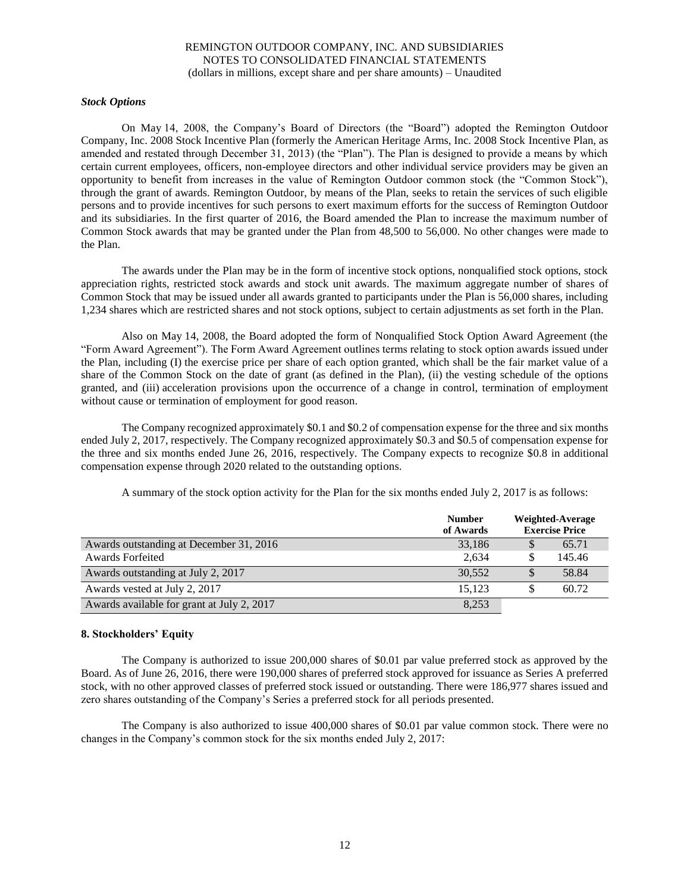# *Stock Options*

On May 14, 2008, the Company's Board of Directors (the "Board") adopted the Remington Outdoor Company, Inc. 2008 Stock Incentive Plan (formerly the American Heritage Arms, Inc. 2008 Stock Incentive Plan, as amended and restated through December 31, 2013) (the "Plan"). The Plan is designed to provide a means by which certain current employees, officers, non-employee directors and other individual service providers may be given an opportunity to benefit from increases in the value of Remington Outdoor common stock (the "Common Stock"), through the grant of awards. Remington Outdoor, by means of the Plan, seeks to retain the services of such eligible persons and to provide incentives for such persons to exert maximum efforts for the success of Remington Outdoor and its subsidiaries. In the first quarter of 2016, the Board amended the Plan to increase the maximum number of Common Stock awards that may be granted under the Plan from 48,500 to 56,000. No other changes were made to the Plan.

The awards under the Plan may be in the form of incentive stock options, nonqualified stock options, stock appreciation rights, restricted stock awards and stock unit awards. The maximum aggregate number of shares of Common Stock that may be issued under all awards granted to participants under the Plan is 56,000 shares, including 1,234 shares which are restricted shares and not stock options, subject to certain adjustments as set forth in the Plan.

Also on May 14, 2008, the Board adopted the form of Nonqualified Stock Option Award Agreement (the "Form Award Agreement"). The Form Award Agreement outlines terms relating to stock option awards issued under the Plan, including (I) the exercise price per share of each option granted, which shall be the fair market value of a share of the Common Stock on the date of grant (as defined in the Plan), (ii) the vesting schedule of the options granted, and (iii) acceleration provisions upon the occurrence of a change in control, termination of employment without cause or termination of employment for good reason.

The Company recognized approximately \$0.1 and \$0.2 of compensation expense for the three and six months ended July 2, 2017, respectively. The Company recognized approximately \$0.3 and \$0.5 of compensation expense for the three and six months ended June 26, 2016, respectively. The Company expects to recognize \$0.8 in additional compensation expense through 2020 related to the outstanding options.

|                                            | <b>Number</b><br>of Awards | Weighted-Average<br><b>Exercise Price</b> |
|--------------------------------------------|----------------------------|-------------------------------------------|
| Awards outstanding at December 31, 2016    | 33,186                     | 65.71                                     |
| <b>Awards Forfeited</b>                    | 2,634                      | 145.46                                    |
| Awards outstanding at July 2, 2017         | 30.552                     | 58.84                                     |
| Awards vested at July 2, 2017              | 15.123                     | 60.72                                     |
| Awards available for grant at July 2, 2017 | 8,253                      |                                           |

A summary of the stock option activity for the Plan for the six months ended July 2, 2017 is as follows:

# **8. Stockholders' Equity**

The Company is authorized to issue 200,000 shares of \$0.01 par value preferred stock as approved by the Board. As of June 26, 2016, there were 190,000 shares of preferred stock approved for issuance as Series A preferred stock, with no other approved classes of preferred stock issued or outstanding. There were 186,977 shares issued and zero shares outstanding of the Company's Series a preferred stock for all periods presented.

The Company is also authorized to issue 400,000 shares of \$0.01 par value common stock. There were no changes in the Company's common stock for the six months ended July 2, 2017: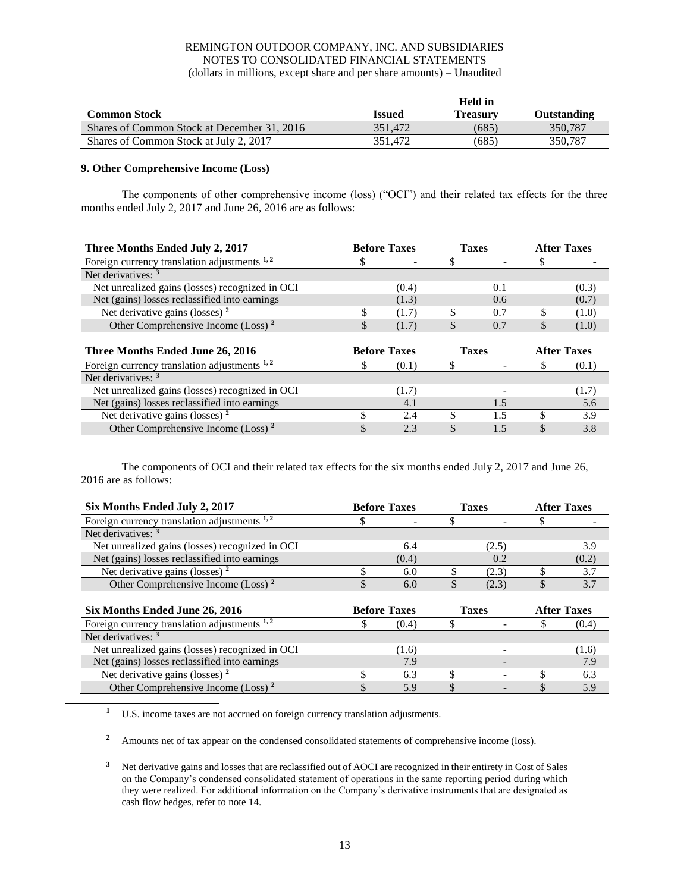|                                             |               | <b>Held</b> in |             |
|---------------------------------------------|---------------|----------------|-------------|
| <b>Common Stock</b>                         | <b>Issued</b> | Treasurv       | Outstanding |
| Shares of Common Stock at December 31, 2016 | 351.472       | (685)          | 350.787     |
| Shares of Common Stock at July 2, 2017      | 351.472       | (685)          | 350.787     |

# **9. Other Comprehensive Income (Loss)**

The components of other comprehensive income (loss) ("OCI") and their related tax effects for the three months ended July 2, 2017 and June 26, 2016 are as follows:

| Three Months Ended July 2, 2017                 |    | <b>Before Taxes</b> |    | <b>Taxes</b>             |    | <b>After Taxes</b> |
|-------------------------------------------------|----|---------------------|----|--------------------------|----|--------------------|
| Foreign currency translation adjustments 1,2    | P  |                     |    | $\overline{\phantom{0}}$ |    |                    |
| Net derivatives: 3                              |    |                     |    |                          |    |                    |
| Net unrealized gains (losses) recognized in OCI |    | (0.4)               |    | 0.1                      |    | (0.3)              |
| Net (gains) losses reclassified into earnings   |    | (1.3)               |    | 0.6                      |    | (0.7)              |
| Net derivative gains (losses) $2$               |    | (1.7)               |    | 0.7                      |    | (1.0)              |
| Other Comprehensive Income (Loss) <sup>2</sup>  | \$ | (1.7)               |    | 0.7                      | \$ | (1.0)              |
|                                                 |    |                     |    |                          |    |                    |
| Three Months Ended June 26, 2016                |    | <b>Before Taxes</b> |    | <b>Taxes</b>             |    | <b>After Taxes</b> |
| Foreign currency translation adjustments 1,2    | S  | (0.1)               | S  |                          | S  | (0.1)              |
| Net derivatives: <sup>3</sup>                   |    |                     |    |                          |    |                    |
| Net unrealized gains (losses) recognized in OCI |    | (1.7)               |    |                          |    | (1.7)              |
| Net (gains) losses reclassified into earnings   |    | 4.1                 |    | 1.5                      |    | 5.6                |
| Net derivative gains (losses) $2$               |    | 2.4                 |    | 1.5                      |    | 3.9                |
| Other Comprehensive Income (Loss) <sup>2</sup>  |    | 2.3                 | \$ | 1.5                      |    | 3.8                |

The components of OCI and their related tax effects for the six months ended July 2, 2017 and June 26, 2016 are as follows:

| Six Months Ended July 2, 2017                   | <b>Before Taxes</b> |       | <b>Taxes</b> |              | <b>After Taxes</b> |
|-------------------------------------------------|---------------------|-------|--------------|--------------|--------------------|
| Foreign currency translation adjustments $1, 2$ | J                   |       |              |              |                    |
| Net derivatives: <sup>3</sup>                   |                     |       |              |              |                    |
| Net unrealized gains (losses) recognized in OCI |                     | 6.4   |              | (2.5)        | 3.9                |
| Net (gains) losses reclassified into earnings   |                     | (0.4) |              | 0.2          | (0.2)              |
| Net derivative gains (losses) $2$               | \$                  | 6.0   |              | (2.3)        | 3.7                |
| Other Comprehensive Income (Loss) <sup>2</sup>  | \$                  | 6.0   |              | (2.3)        | \$<br>3.7          |
|                                                 |                     |       |              |              |                    |
|                                                 | <b>Before Taxes</b> |       |              |              |                    |
| Six Months Ended June 26, 2016                  |                     |       |              | <b>Taxes</b> | <b>After Taxes</b> |
| Foreign currency translation adjustments $1, 2$ | J,                  | (0.4) |              |              | (0.4)              |
| Net derivatives: <sup>3</sup>                   |                     |       |              |              |                    |
| Net unrealized gains (losses) recognized in OCI |                     | (1.6) |              |              | (1.6)              |
| Net (gains) losses reclassified into earnings   |                     | 7.9   |              |              | 7.9                |
| Net derivative gains (losses) $2$               |                     | 6.3   | S            |              | 6.3                |

**<sup>1</sup>** U.S. income taxes are not accrued on foreign currency translation adjustments.

<sup>2</sup> Amounts net of tax appear on the condensed consolidated statements of comprehensive income (loss).

<sup>3</sup> Net derivative gains and losses that are reclassified out of AOCI are recognized in their entirety in Cost of Sales on the Company's condensed consolidated statement of operations in the same reporting period during which they were realized. For additional information on the Company's derivative instruments that are designated as cash flow hedges, refer to note 14.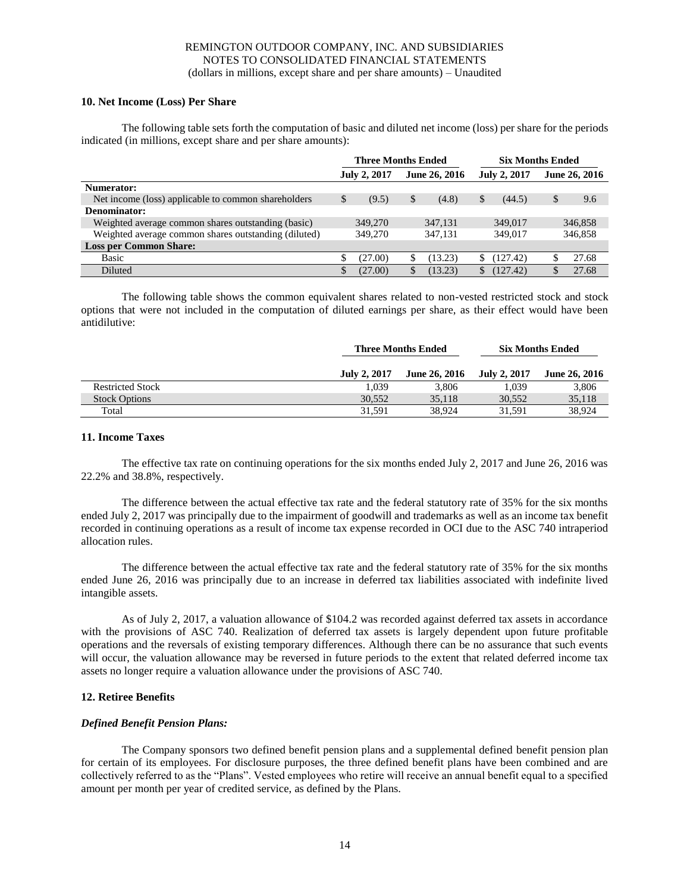# **10. Net Income (Loss) Per Share**

The following table sets forth the computation of basic and diluted net income (loss) per share for the periods indicated (in millions, except share and per share amounts):

|                                                      | <b>Three Months Ended</b> |         |               |         | <b>Six Months Ended</b> |          |               |         |
|------------------------------------------------------|---------------------------|---------|---------------|---------|-------------------------|----------|---------------|---------|
|                                                      | <b>July 2, 2017</b>       |         | June 26, 2016 |         | <b>July 2, 2017</b>     |          | June 26, 2016 |         |
| Numerator:                                           |                           |         |               |         |                         |          |               |         |
| Net income (loss) applicable to common shareholders  |                           | (9.5)   | \$            | (4.8)   | \$                      | (44.5)   |               | 9.6     |
| Denominator:                                         |                           |         |               |         |                         |          |               |         |
| Weighted average common shares outstanding (basic)   |                           | 349,270 |               | 347.131 |                         | 349,017  |               | 346,858 |
| Weighted average common shares outstanding (diluted) |                           | 349,270 |               | 347.131 |                         | 349,017  |               | 346,858 |
| <b>Loss per Common Share:</b>                        |                           |         |               |         |                         |          |               |         |
| Basic                                                |                           | (27.00) |               | (13.23) | ۰D.                     | (127.42) |               | 27.68   |
| Diluted                                              |                           | (27.00) |               | (13.23) | S                       | (127.42) |               | 27.68   |

The following table shows the common equivalent shares related to non-vested restricted stock and stock options that were not included in the computation of diluted earnings per share, as their effect would have been antidilutive:

|                         |              | <b>Three Months Ended</b> |              | <b>Six Months Ended</b> |
|-------------------------|--------------|---------------------------|--------------|-------------------------|
|                         | July 2, 2017 | <b>June 26, 2016</b>      | July 2, 2017 | <b>June 26, 2016</b>    |
| <b>Restricted Stock</b> | 1.039        | 3.806                     | 1.039        | 3,806                   |
| <b>Stock Options</b>    | 30.552       | 35.118                    | 30.552       | 35,118                  |
| Total                   | 31.591       | 38,924                    | 31.591       | 38.924                  |

#### **11. Income Taxes**

The effective tax rate on continuing operations for the six months ended July 2, 2017 and June 26, 2016 was 22.2% and 38.8%, respectively.

The difference between the actual effective tax rate and the federal statutory rate of 35% for the six months ended July 2, 2017 was principally due to the impairment of goodwill and trademarks as well as an income tax benefit recorded in continuing operations as a result of income tax expense recorded in OCI due to the ASC 740 intraperiod allocation rules.

The difference between the actual effective tax rate and the federal statutory rate of 35% for the six months ended June 26, 2016 was principally due to an increase in deferred tax liabilities associated with indefinite lived intangible assets.

As of July 2, 2017, a valuation allowance of \$104.2 was recorded against deferred tax assets in accordance with the provisions of ASC 740. Realization of deferred tax assets is largely dependent upon future profitable operations and the reversals of existing temporary differences. Although there can be no assurance that such events will occur, the valuation allowance may be reversed in future periods to the extent that related deferred income tax assets no longer require a valuation allowance under the provisions of ASC 740.

# **12. Retiree Benefits**

# *Defined Benefit Pension Plans:*

The Company sponsors two defined benefit pension plans and a supplemental defined benefit pension plan for certain of its employees. For disclosure purposes, the three defined benefit plans have been combined and are collectively referred to as the "Plans". Vested employees who retire will receive an annual benefit equal to a specified amount per month per year of credited service, as defined by the Plans.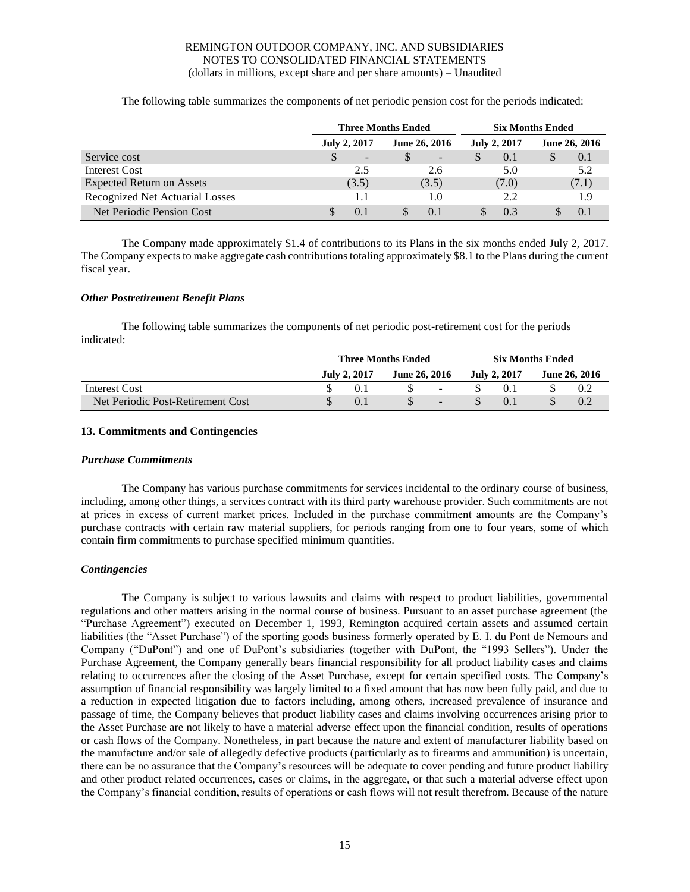The following table summarizes the components of net periodic pension cost for the periods indicated:

|                                        | <b>Three Months Ended</b> |                          |   |               |   | <b>Six Months Ended</b> |  |               |  |
|----------------------------------------|---------------------------|--------------------------|---|---------------|---|-------------------------|--|---------------|--|
|                                        |                           | <b>July 2, 2017</b>      |   | June 26, 2016 |   | <b>July 2, 2017</b>     |  | June 26, 2016 |  |
| Service cost                           |                           | $\overline{\phantom{a}}$ | S | -             | S | 0.1                     |  | 0.1           |  |
| Interest Cost                          |                           | 2.5                      |   | 2.6           |   | 5.0                     |  | 5.2           |  |
| <b>Expected Return on Assets</b>       |                           | (3.5)                    |   | (3.5)         |   | (7.0)                   |  | (7.1)         |  |
| <b>Recognized Net Actuarial Losses</b> |                           |                          |   | 1.0           |   | 2.2                     |  | 1.9           |  |
| Net Periodic Pension Cost              |                           |                          |   | 0.1           |   | 0.3                     |  | 0.1           |  |

The Company made approximately \$1.4 of contributions to its Plans in the six months ended July 2, 2017. The Company expects to make aggregate cash contributions totaling approximately \$8.1 to the Plans during the current fiscal year.

# *Other Postretirement Benefit Plans*

The following table summarizes the components of net periodic post-retirement cost for the periods indicated:

|                                   | <b>Three Months Ended</b> |              |               |                          |  |              | <b>Six Months Ended</b> |                      |  |  |
|-----------------------------------|---------------------------|--------------|---------------|--------------------------|--|--------------|-------------------------|----------------------|--|--|
|                                   |                           | July 2, 2017 | June 26, 2016 |                          |  | July 2, 2017 |                         | <b>June 26, 2016</b> |  |  |
| Interest Cost                     |                           |              |               | $\overline{\phantom{0}}$ |  |              |                         |                      |  |  |
| Net Periodic Post-Retirement Cost |                           | 0.1          |               | -                        |  |              |                         |                      |  |  |

# **13. Commitments and Contingencies**

# *Purchase Commitments*

The Company has various purchase commitments for services incidental to the ordinary course of business, including, among other things, a services contract with its third party warehouse provider. Such commitments are not at prices in excess of current market prices. Included in the purchase commitment amounts are the Company's purchase contracts with certain raw material suppliers, for periods ranging from one to four years, some of which contain firm commitments to purchase specified minimum quantities.

# *Contingencies*

The Company is subject to various lawsuits and claims with respect to product liabilities, governmental regulations and other matters arising in the normal course of business. Pursuant to an asset purchase agreement (the "Purchase Agreement") executed on December 1, 1993, Remington acquired certain assets and assumed certain liabilities (the "Asset Purchase") of the sporting goods business formerly operated by E. I. du Pont de Nemours and Company ("DuPont") and one of DuPont's subsidiaries (together with DuPont, the "1993 Sellers"). Under the Purchase Agreement, the Company generally bears financial responsibility for all product liability cases and claims relating to occurrences after the closing of the Asset Purchase, except for certain specified costs. The Company's assumption of financial responsibility was largely limited to a fixed amount that has now been fully paid, and due to a reduction in expected litigation due to factors including, among others, increased prevalence of insurance and passage of time, the Company believes that product liability cases and claims involving occurrences arising prior to the Asset Purchase are not likely to have a material adverse effect upon the financial condition, results of operations or cash flows of the Company. Nonetheless, in part because the nature and extent of manufacturer liability based on the manufacture and/or sale of allegedly defective products (particularly as to firearms and ammunition) is uncertain, there can be no assurance that the Company's resources will be adequate to cover pending and future product liability and other product related occurrences, cases or claims, in the aggregate, or that such a material adverse effect upon the Company's financial condition, results of operations or cash flows will not result therefrom. Because of the nature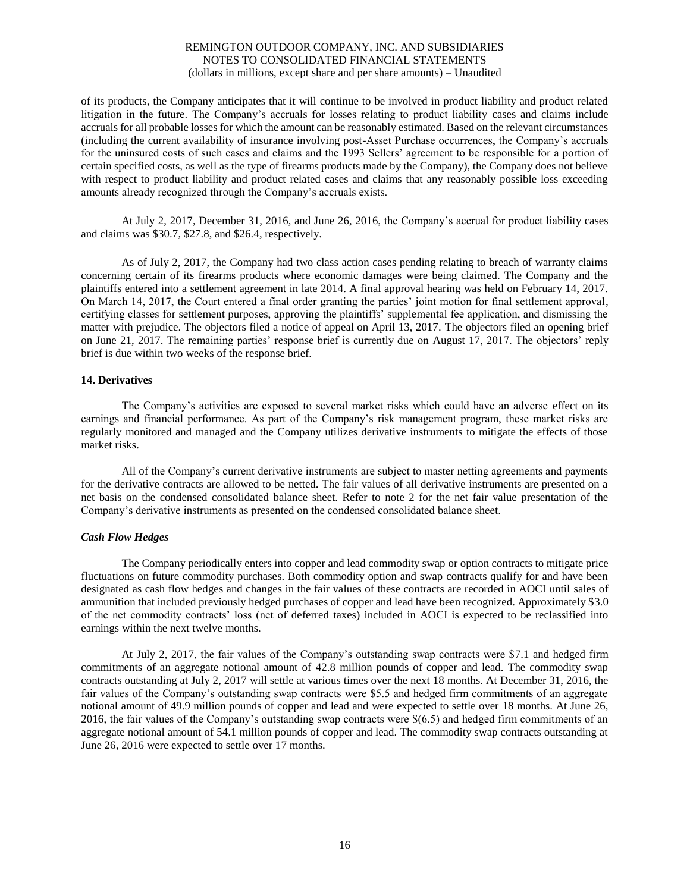of its products, the Company anticipates that it will continue to be involved in product liability and product related litigation in the future. The Company's accruals for losses relating to product liability cases and claims include accruals for all probable losses for which the amount can be reasonably estimated. Based on the relevant circumstances (including the current availability of insurance involving post-Asset Purchase occurrences, the Company's accruals for the uninsured costs of such cases and claims and the 1993 Sellers' agreement to be responsible for a portion of certain specified costs, as well as the type of firearms products made by the Company), the Company does not believe with respect to product liability and product related cases and claims that any reasonably possible loss exceeding amounts already recognized through the Company's accruals exists.

At July 2, 2017, December 31, 2016, and June 26, 2016, the Company's accrual for product liability cases and claims was \$30.7, \$27.8, and \$26.4, respectively.

As of July 2, 2017, the Company had two class action cases pending relating to breach of warranty claims concerning certain of its firearms products where economic damages were being claimed. The Company and the plaintiffs entered into a settlement agreement in late 2014. A final approval hearing was held on February 14, 2017. On March 14, 2017, the Court entered a final order granting the parties' joint motion for final settlement approval, certifying classes for settlement purposes, approving the plaintiffs' supplemental fee application, and dismissing the matter with prejudice. The objectors filed a notice of appeal on April 13, 2017. The objectors filed an opening brief on June 21, 2017. The remaining parties' response brief is currently due on August 17, 2017. The objectors' reply brief is due within two weeks of the response brief.

# **14. Derivatives**

The Company's activities are exposed to several market risks which could have an adverse effect on its earnings and financial performance. As part of the Company's risk management program, these market risks are regularly monitored and managed and the Company utilizes derivative instruments to mitigate the effects of those market risks.

All of the Company's current derivative instruments are subject to master netting agreements and payments for the derivative contracts are allowed to be netted. The fair values of all derivative instruments are presented on a net basis on the condensed consolidated balance sheet. Refer to note 2 for the net fair value presentation of the Company's derivative instruments as presented on the condensed consolidated balance sheet.

# *Cash Flow Hedges*

The Company periodically enters into copper and lead commodity swap or option contracts to mitigate price fluctuations on future commodity purchases. Both commodity option and swap contracts qualify for and have been designated as cash flow hedges and changes in the fair values of these contracts are recorded in AOCI until sales of ammunition that included previously hedged purchases of copper and lead have been recognized. Approximately \$3.0 of the net commodity contracts' loss (net of deferred taxes) included in AOCI is expected to be reclassified into earnings within the next twelve months.

At July 2, 2017, the fair values of the Company's outstanding swap contracts were \$7.1 and hedged firm commitments of an aggregate notional amount of 42.8 million pounds of copper and lead. The commodity swap contracts outstanding at July 2, 2017 will settle at various times over the next 18 months. At December 31, 2016, the fair values of the Company's outstanding swap contracts were \$5.5 and hedged firm commitments of an aggregate notional amount of 49.9 million pounds of copper and lead and were expected to settle over 18 months. At June 26, 2016, the fair values of the Company's outstanding swap contracts were \$(6.5) and hedged firm commitments of an aggregate notional amount of 54.1 million pounds of copper and lead. The commodity swap contracts outstanding at June 26, 2016 were expected to settle over 17 months.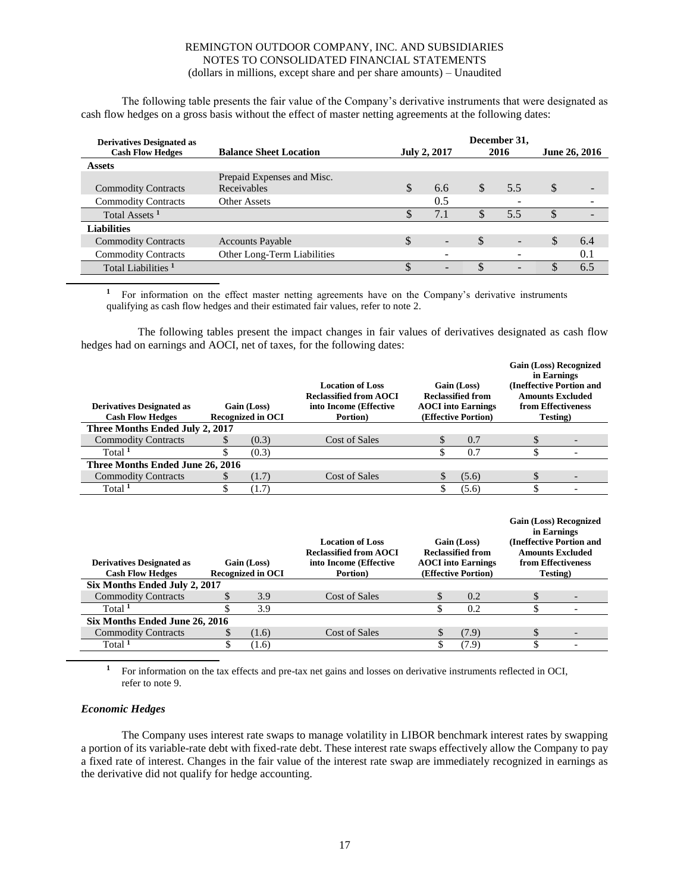The following table presents the fair value of the Company's derivative instruments that were designated as cash flow hedges on a gross basis without the effect of master netting agreements at the following dates:

| <b>Derivatives Designated as</b><br><b>Cash Flow Hedges</b> | <b>Balance Sheet Location</b> |    | December 31,<br>2016<br>June 26, 2016 |    |                          |               |     |
|-------------------------------------------------------------|-------------------------------|----|---------------------------------------|----|--------------------------|---------------|-----|
| <b>Assets</b>                                               |                               |    |                                       |    |                          |               |     |
|                                                             | Prepaid Expenses and Misc.    |    |                                       |    |                          |               |     |
| <b>Commodity Contracts</b>                                  | Receivables                   | S  | 6.6                                   | \$ | 5.5                      | <sup>\$</sup> | -   |
| <b>Commodity Contracts</b>                                  | Other Assets                  |    | 0.5                                   |    |                          |               |     |
| Total Assets <sup>1</sup>                                   |                               | ٠Π | 7.1                                   | S  | 5.5                      | ъD            |     |
| Liabilities                                                 |                               |    |                                       |    |                          |               |     |
| <b>Commodity Contracts</b>                                  | <b>Accounts Payable</b>       | S  |                                       | \$ | $\overline{\phantom{a}}$ |               | 6.4 |
| <b>Commodity Contracts</b>                                  | Other Long-Term Liabilities   |    |                                       |    |                          |               | 0.1 |
| Total Liabilities <sup>1</sup>                              |                               |    |                                       |    |                          |               | 6.5 |

<sup>1</sup> For information on the effect master netting agreements have on the Company's derivative instruments qualifying as cash flow hedges and their estimated fair values, refer to note 2.

The following tables present the impact changes in fair values of derivatives designated as cash flow hedges had on earnings and AOCI, net of taxes, for the following dates:

| <b>Derivatives Designated as</b><br><b>Cash Flow Hedges</b> |     | Gain (Loss)<br><b>Recognized in OCI</b> | <b>Location of Loss</b><br><b>Reclassified from AOCI</b><br>into Income (Effective<br>Portion) |    | Gain (Loss)<br><b>Reclassified from</b><br><b>AOCI</b> into Earnings<br>(Effective Portion) | <b>Gain (Loss) Recognized</b><br>in Earnings<br>(Ineffective Portion and<br><b>Amounts Excluded</b><br>from Effectiveness<br>Testing)         |  |
|-------------------------------------------------------------|-----|-----------------------------------------|------------------------------------------------------------------------------------------------|----|---------------------------------------------------------------------------------------------|-----------------------------------------------------------------------------------------------------------------------------------------------|--|
| Three Months Ended July 2, 2017                             |     |                                         |                                                                                                |    |                                                                                             |                                                                                                                                               |  |
| <b>Commodity Contracts</b>                                  | \$. | (0.3)                                   | <b>Cost of Sales</b>                                                                           | S  | 0.7                                                                                         | \$                                                                                                                                            |  |
| Total <sup>1</sup>                                          | \$  | (0.3)                                   |                                                                                                |    | 0.7                                                                                         | \$                                                                                                                                            |  |
| Three Months Ended June 26, 2016                            |     |                                         |                                                                                                |    |                                                                                             |                                                                                                                                               |  |
| <b>Commodity Contracts</b>                                  | SS. | (1.7)                                   | <b>Cost of Sales</b>                                                                           | \$ | (5.6)                                                                                       | \$                                                                                                                                            |  |
| Total <sup>1</sup>                                          | \$  | (1.7)                                   |                                                                                                |    | (5.6)                                                                                       | \$                                                                                                                                            |  |
| <b>Derivatives Designated as</b><br><b>Cash Flow Hedges</b> |     | Gain (Loss)<br>Recognized in OCI        | <b>Location of Loss</b><br><b>Reclassified from AOCI</b><br>into Income (Effective<br>Portion) |    | Gain (Loss)<br><b>Reclassified from</b><br><b>AOCI</b> into Earnings<br>(Effective Portion) | <b>Gain (Loss) Recognized</b><br>in Earnings<br>(Ineffective Portion and<br><b>Amounts Excluded</b><br>from Effectiveness<br><b>Testing</b> ) |  |

|                                |      |               |      | ------- |  |
|--------------------------------|------|---------------|------|---------|--|
| Six Months Ended July 2, 2017  |      |               |      |         |  |
| <b>Commodity Contracts</b>     | 3.9  | Cost of Sales | 0.2  |         |  |
| Total <sup>1</sup>             | 3.9  |               |      |         |  |
| Six Months Ended June 26, 2016 |      |               |      |         |  |
| <b>Commodity Contracts</b>     | 1.6  | Cost of Sales | 7.9) |         |  |
| Total $1$                      | 1.6) |               | .9   |         |  |
|                                |      |               |      |         |  |

**<sup>1</sup>** For information on the tax effects and pre-tax net gains and losses on derivative instruments reflected in OCI, refer to note 9.

# *Economic Hedges*

The Company uses interest rate swaps to manage volatility in LIBOR benchmark interest rates by swapping a portion of its variable-rate debt with fixed-rate debt. These interest rate swaps effectively allow the Company to pay a fixed rate of interest. Changes in the fair value of the interest rate swap are immediately recognized in earnings as the derivative did not qualify for hedge accounting.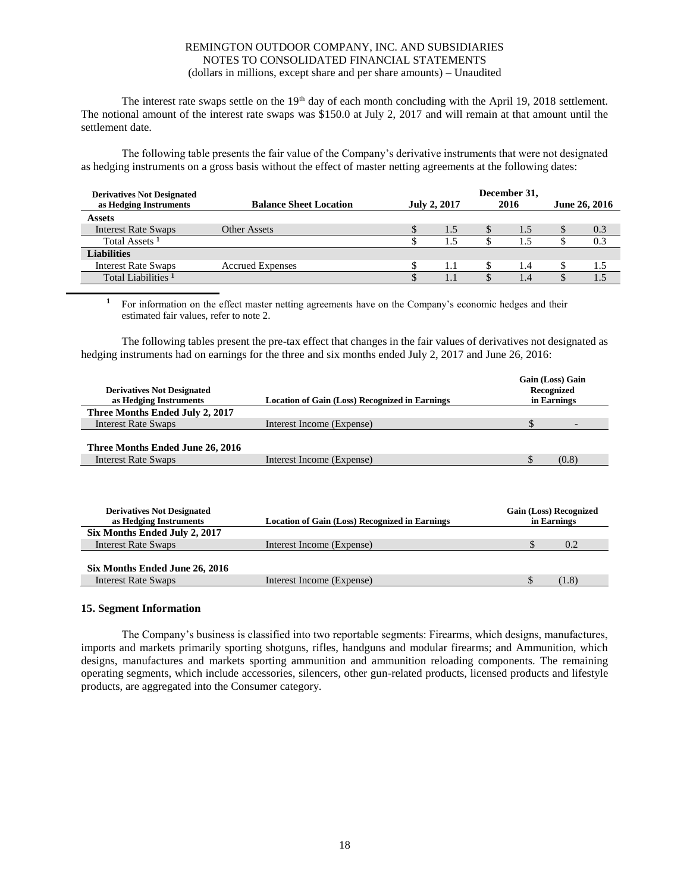The interest rate swaps settle on the  $19<sup>th</sup>$  day of each month concluding with the April 19, 2018 settlement. The notional amount of the interest rate swaps was \$150.0 at July 2, 2017 and will remain at that amount until the settlement date.

The following table presents the fair value of the Company's derivative instruments that were not designated as hedging instruments on a gross basis without the effect of master netting agreements at the following dates:

| <b>Balance Sheet Location</b> |  |     | June 26, 2016       |     |                      |     |
|-------------------------------|--|-----|---------------------|-----|----------------------|-----|
|                               |  |     |                     |     |                      |     |
| Other Assets                  |  | 1.5 |                     | 1.5 |                      | 0.3 |
|                               |  | 1.5 |                     |     |                      | 0.3 |
|                               |  |     |                     |     |                      |     |
| <b>Accrued Expenses</b>       |  | 1.1 |                     | 1.4 |                      | 1.5 |
|                               |  | 1.1 |                     | 1.4 |                      | 1.5 |
|                               |  |     | <b>July 2, 2017</b> |     | December 31,<br>2016 |     |

<sup>1</sup> For information on the effect master netting agreements have on the Company's economic hedges and their estimated fair values, refer to note 2.

The following tables present the pre-tax effect that changes in the fair values of derivatives not designated as hedging instruments had on earnings for the three and six months ended July 2, 2017 and June 26, 2016:

| <b>Derivatives Not Designated</b><br>as Hedging Instruments    | <b>Location of Gain (Loss) Recognized in Earnings</b> | Gain (Loss) Gain<br>Recognized<br>in Earnings |  |  |  |  |
|----------------------------------------------------------------|-------------------------------------------------------|-----------------------------------------------|--|--|--|--|
| Three Months Ended July 2, 2017                                |                                                       |                                               |  |  |  |  |
| <b>Interest Rate Swaps</b>                                     | Interest Income (Expense)                             | \$                                            |  |  |  |  |
| Three Months Ended June 26, 2016<br><b>Interest Rate Swaps</b> | Interest Income (Expense)                             | (0.8)                                         |  |  |  |  |
| <b>Derivatives Not Designated</b><br>as Hedging Instruments    | <b>Location of Gain (Loss) Recognized in Earnings</b> | <b>Gain (Loss) Recognized</b><br>in Earnings  |  |  |  |  |

| as Hedging Instruments         | Location of Gain (Loss) Recognized in Earnings | in Earnings |       |  |  |  |
|--------------------------------|------------------------------------------------|-------------|-------|--|--|--|
| Six Months Ended July 2, 2017  |                                                |             |       |  |  |  |
| <b>Interest Rate Swaps</b>     | Interest Income (Expense)                      |             | 0.2   |  |  |  |
|                                |                                                |             |       |  |  |  |
| Six Months Ended June 26, 2016 |                                                |             |       |  |  |  |
| Interest Rate Swaps            | Interest Income (Expense)                      |             | (1.8) |  |  |  |
|                                |                                                |             |       |  |  |  |

# **15. Segment Information**

The Company's business is classified into two reportable segments: Firearms, which designs, manufactures, imports and markets primarily sporting shotguns, rifles, handguns and modular firearms; and Ammunition, which designs, manufactures and markets sporting ammunition and ammunition reloading components. The remaining operating segments, which include accessories, silencers, other gun-related products, licensed products and lifestyle products, are aggregated into the Consumer category.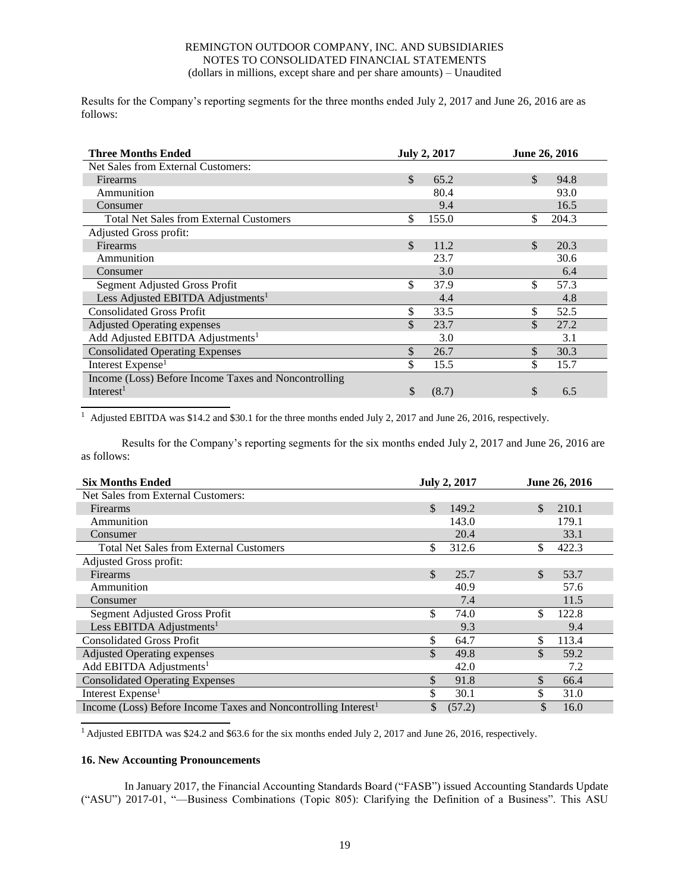Results for the Company's reporting segments for the three months ended July 2, 2017 and June 26, 2016 are as follows:

| <b>Three Months Ended</b>                            | <b>July 2, 2017</b>   | June 26, 2016 |
|------------------------------------------------------|-----------------------|---------------|
| Net Sales from External Customers:                   |                       |               |
| Firearms                                             | \$<br>65.2            | \$<br>94.8    |
| Ammunition                                           | 80.4                  | 93.0          |
| Consumer                                             | 9.4                   | 16.5          |
| <b>Total Net Sales from External Customers</b>       | \$<br>155.0           | \$<br>204.3   |
| Adjusted Gross profit:                               |                       |               |
| Firearms                                             | $\mathcal{S}$<br>11.2 | \$<br>20.3    |
| Ammunition                                           | 23.7                  | 30.6          |
| Consumer                                             | 3.0                   | 6.4           |
| Segment Adjusted Gross Profit                        | \$<br>37.9            | \$<br>57.3    |
| Less Adjusted EBITDA Adjustments <sup>1</sup>        | 4.4                   | 4.8           |
| <b>Consolidated Gross Profit</b>                     | \$<br>33.5            | \$<br>52.5    |
| <b>Adjusted Operating expenses</b>                   | \$<br>23.7            | \$<br>27.2    |
| Add Adjusted EBITDA Adjustments <sup>1</sup>         | 3.0                   | 3.1           |
| <b>Consolidated Operating Expenses</b>               | \$<br>26.7            | \$<br>30.3    |
| Interest Expense <sup>1</sup>                        | \$<br>15.5            | \$<br>15.7    |
| Income (Loss) Before Income Taxes and Noncontrolling |                       |               |
| Interest <sup>1</sup>                                | \$<br>(8.7)           | \$<br>6.5     |

<sup>1</sup> Adjusted EBITDA was \$14.2 and \$30.1 for the three months ended July 2, 2017 and June 26, 2016, respectively.

Results for the Company's reporting segments for the six months ended July 2, 2017 and June 26, 2016 are as follows:

| <b>Six Months Ended</b>                                                    | <b>July 2, 2017</b><br><b>June 26, 2016</b> |                       |  |  |  |
|----------------------------------------------------------------------------|---------------------------------------------|-----------------------|--|--|--|
| Net Sales from External Customers:                                         |                                             |                       |  |  |  |
| <b>Firearms</b>                                                            | \$<br>149.2                                 | \$.<br>210.1          |  |  |  |
| Ammunition                                                                 | 143.0                                       | 179.1                 |  |  |  |
| Consumer                                                                   | 20.4                                        | 33.1                  |  |  |  |
| <b>Total Net Sales from External Customers</b>                             | \$<br>312.6                                 | \$<br>422.3           |  |  |  |
| Adjusted Gross profit:                                                     |                                             |                       |  |  |  |
| Firearms                                                                   | \$<br>25.7                                  | <sup>\$</sup><br>53.7 |  |  |  |
| Ammunition                                                                 | 40.9                                        | 57.6                  |  |  |  |
| Consumer                                                                   | 7.4                                         | 11.5                  |  |  |  |
| Segment Adjusted Gross Profit                                              | \$<br>74.0                                  | \$<br>122.8           |  |  |  |
| Less EBITDA Adjustments <sup>1</sup>                                       | 9.3                                         | 9.4                   |  |  |  |
| <b>Consolidated Gross Profit</b>                                           | \$<br>64.7                                  | 113.4<br>\$.          |  |  |  |
| <b>Adjusted Operating expenses</b>                                         | \$<br>49.8                                  | $\mathcal{S}$<br>59.2 |  |  |  |
| Add EBITDA Adjustments <sup>1</sup>                                        | 42.0                                        | 7.2                   |  |  |  |
| <b>Consolidated Operating Expenses</b>                                     | \$<br>91.8                                  | \$<br>66.4            |  |  |  |
| Interest Expense <sup>1</sup>                                              | 30.1                                        | \$<br>31.0            |  |  |  |
| Income (Loss) Before Income Taxes and Noncontrolling Interest <sup>1</sup> | \$<br>(57.2)                                | 16.0                  |  |  |  |

<sup>1</sup> Adjusted EBITDA was \$24.2 and \$63.6 for the six months ended July 2, 2017 and June 26, 2016, respectively.

# **16. New Accounting Pronouncements**

In January 2017, the Financial Accounting Standards Board ("FASB") issued Accounting Standards Update ("ASU") 2017-01, "—Business Combinations (Topic 805): Clarifying the Definition of a Business". This ASU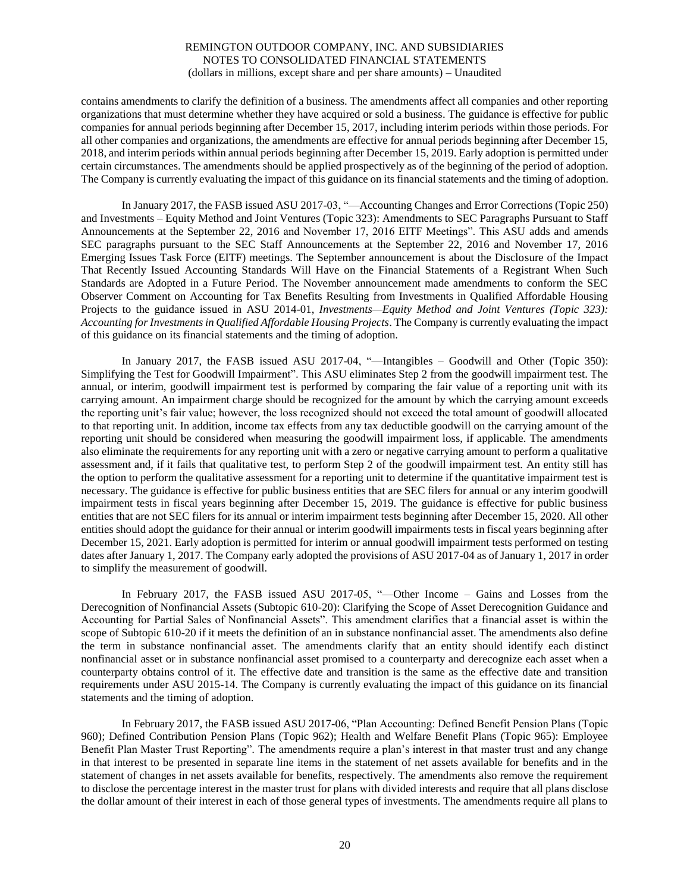contains amendments to clarify the definition of a business. The amendments affect all companies and other reporting organizations that must determine whether they have acquired or sold a business. The guidance is effective for public companies for annual periods beginning after December 15, 2017, including interim periods within those periods. For all other companies and organizations, the amendments are effective for annual periods beginning after December 15, 2018, and interim periods within annual periods beginning after December 15, 2019. Early adoption is permitted under certain circumstances. The amendments should be applied prospectively as of the beginning of the period of adoption. The Company is currently evaluating the impact of this guidance on its financial statements and the timing of adoption.

In January 2017, the FASB issued ASU 2017-03, "—Accounting Changes and Error Corrections (Topic 250) and Investments – Equity Method and Joint Ventures (Topic 323): Amendments to SEC Paragraphs Pursuant to Staff Announcements at the September 22, 2016 and November 17, 2016 EITF Meetings". This ASU adds and amends SEC paragraphs pursuant to the SEC Staff Announcements at the September 22, 2016 and November 17, 2016 Emerging Issues Task Force (EITF) meetings. The September announcement is about the Disclosure of the Impact That Recently Issued Accounting Standards Will Have on the Financial Statements of a Registrant When Such Standards are Adopted in a Future Period. The November announcement made amendments to conform the SEC Observer Comment on Accounting for Tax Benefits Resulting from Investments in Qualified Affordable Housing Projects to the guidance issued in ASU 2014-01, *Investments—Equity Method and Joint Ventures (Topic 323): Accounting for Investments in Qualified Affordable Housing Projects*. The Company is currently evaluating the impact of this guidance on its financial statements and the timing of adoption.

In January 2017, the FASB issued ASU 2017-04, "—Intangibles – Goodwill and Other (Topic 350): Simplifying the Test for Goodwill Impairment". This ASU eliminates Step 2 from the goodwill impairment test. The annual, or interim, goodwill impairment test is performed by comparing the fair value of a reporting unit with its carrying amount. An impairment charge should be recognized for the amount by which the carrying amount exceeds the reporting unit's fair value; however, the loss recognized should not exceed the total amount of goodwill allocated to that reporting unit. In addition, income tax effects from any tax deductible goodwill on the carrying amount of the reporting unit should be considered when measuring the goodwill impairment loss, if applicable. The amendments also eliminate the requirements for any reporting unit with a zero or negative carrying amount to perform a qualitative assessment and, if it fails that qualitative test, to perform Step 2 of the goodwill impairment test. An entity still has the option to perform the qualitative assessment for a reporting unit to determine if the quantitative impairment test is necessary. The guidance is effective for public business entities that are SEC filers for annual or any interim goodwill impairment tests in fiscal years beginning after December 15, 2019. The guidance is effective for public business entities that are not SEC filers for its annual or interim impairment tests beginning after December 15, 2020. All other entities should adopt the guidance for their annual or interim goodwill impairments tests in fiscal years beginning after December 15, 2021. Early adoption is permitted for interim or annual goodwill impairment tests performed on testing dates after January 1, 2017. The Company early adopted the provisions of ASU 2017-04 as of January 1, 2017 in order to simplify the measurement of goodwill.

In February 2017, the FASB issued ASU 2017-05, "—Other Income – Gains and Losses from the Derecognition of Nonfinancial Assets (Subtopic 610-20): Clarifying the Scope of Asset Derecognition Guidance and Accounting for Partial Sales of Nonfinancial Assets". This amendment clarifies that a financial asset is within the scope of Subtopic 610-20 if it meets the definition of an in substance nonfinancial asset. The amendments also define the term in substance nonfinancial asset. The amendments clarify that an entity should identify each distinct nonfinancial asset or in substance nonfinancial asset promised to a counterparty and derecognize each asset when a counterparty obtains control of it. The effective date and transition is the same as the effective date and transition requirements under ASU 2015-14. The Company is currently evaluating the impact of this guidance on its financial statements and the timing of adoption.

In February 2017, the FASB issued ASU 2017-06, "Plan Accounting: Defined Benefit Pension Plans (Topic 960); Defined Contribution Pension Plans (Topic 962); Health and Welfare Benefit Plans (Topic 965): Employee Benefit Plan Master Trust Reporting". The amendments require a plan's interest in that master trust and any change in that interest to be presented in separate line items in the statement of net assets available for benefits and in the statement of changes in net assets available for benefits, respectively. The amendments also remove the requirement to disclose the percentage interest in the master trust for plans with divided interests and require that all plans disclose the dollar amount of their interest in each of those general types of investments. The amendments require all plans to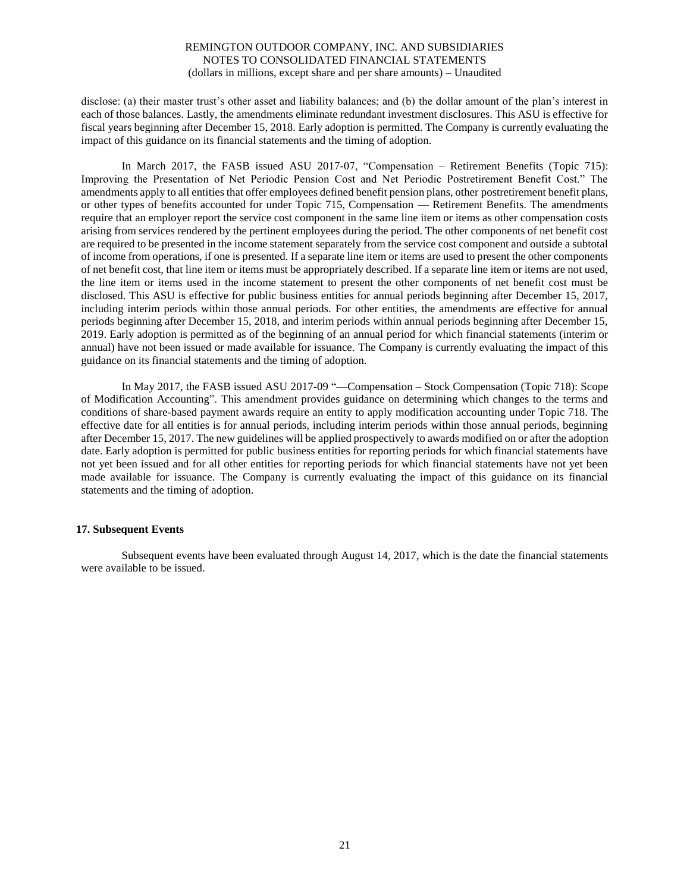disclose: (a) their master trust's other asset and liability balances; and (b) the dollar amount of the plan's interest in each of those balances. Lastly, the amendments eliminate redundant investment disclosures. This ASU is effective for fiscal years beginning after December 15, 2018. Early adoption is permitted. The Company is currently evaluating the impact of this guidance on its financial statements and the timing of adoption.

In March 2017, the FASB issued ASU 2017-07, "Compensation – Retirement Benefits (Topic 715): Improving the Presentation of Net Periodic Pension Cost and Net Periodic Postretirement Benefit Cost." The amendments apply to all entities that offer employees defined benefit pension plans, other postretirement benefit plans, or other types of benefits accounted for under Topic 715, Compensation — Retirement Benefits. The amendments require that an employer report the service cost component in the same line item or items as other compensation costs arising from services rendered by the pertinent employees during the period. The other components of net benefit cost are required to be presented in the income statement separately from the service cost component and outside a subtotal of income from operations, if one is presented. If a separate line item or items are used to present the other components of net benefit cost, that line item or items must be appropriately described. If a separate line item or items are not used, the line item or items used in the income statement to present the other components of net benefit cost must be disclosed. This ASU is effective for public business entities for annual periods beginning after December 15, 2017, including interim periods within those annual periods. For other entities, the amendments are effective for annual periods beginning after December 15, 2018, and interim periods within annual periods beginning after December 15, 2019. Early adoption is permitted as of the beginning of an annual period for which financial statements (interim or annual) have not been issued or made available for issuance. The Company is currently evaluating the impact of this guidance on its financial statements and the timing of adoption.

In May 2017, the FASB issued ASU 2017-09 "—Compensation – Stock Compensation (Topic 718): Scope of Modification Accounting". This amendment provides guidance on determining which changes to the terms and conditions of share-based payment awards require an entity to apply modification accounting under Topic 718. The effective date for all entities is for annual periods, including interim periods within those annual periods, beginning after December 15, 2017. The new guidelines will be applied prospectively to awards modified on or after the adoption date. Early adoption is permitted for public business entities for reporting periods for which financial statements have not yet been issued and for all other entities for reporting periods for which financial statements have not yet been made available for issuance. The Company is currently evaluating the impact of this guidance on its financial statements and the timing of adoption.

# **17. Subsequent Events**

Subsequent events have been evaluated through August 14, 2017, which is the date the financial statements were available to be issued.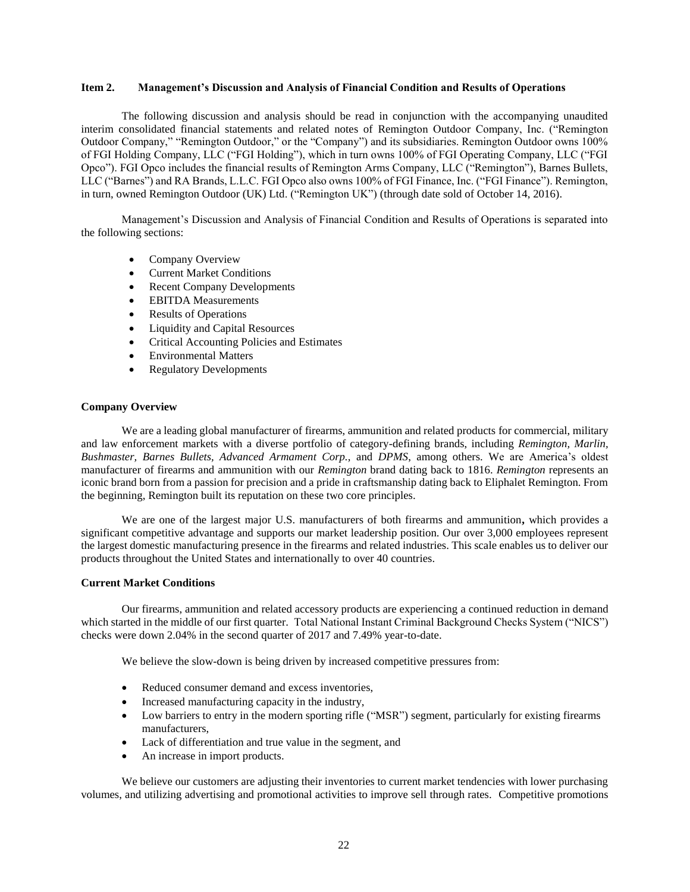# **Item 2. Management's Discussion and Analysis of Financial Condition and Results of Operations**

The following discussion and analysis should be read in conjunction with the accompanying unaudited interim consolidated financial statements and related notes of Remington Outdoor Company, Inc. ("Remington Outdoor Company," "Remington Outdoor," or the "Company") and its subsidiaries. Remington Outdoor owns 100% of FGI Holding Company, LLC ("FGI Holding"), which in turn owns 100% of FGI Operating Company, LLC ("FGI Opco"). FGI Opco includes the financial results of Remington Arms Company, LLC ("Remington"), Barnes Bullets, LLC ("Barnes") and RA Brands, L.L.C. FGI Opco also owns 100% of FGI Finance, Inc. ("FGI Finance"). Remington, in turn, owned Remington Outdoor (UK) Ltd. ("Remington UK") (through date sold of October 14, 2016).

Management's Discussion and Analysis of Financial Condition and Results of Operations is separated into the following sections:

- Company Overview
- Current Market Conditions
- Recent Company Developments
- EBITDA Measurements
- Results of Operations
- Liquidity and Capital Resources
- Critical Accounting Policies and Estimates
- Environmental Matters
- Regulatory Developments

# **Company Overview**

We are a leading global manufacturer of firearms, ammunition and related products for commercial, military and law enforcement markets with a diverse portfolio of category-defining brands, including *Remington, Marlin, Bushmaster, Barnes Bullets, Advanced Armament Corp.,* and *DPMS*, among others. We are America's oldest manufacturer of firearms and ammunition with our *Remington* brand dating back to 1816. *Remington* represents an iconic brand born from a passion for precision and a pride in craftsmanship dating back to Eliphalet Remington. From the beginning, Remington built its reputation on these two core principles.

We are one of the largest major U.S. manufacturers of both firearms and ammunition**,** which provides a significant competitive advantage and supports our market leadership position. Our over 3,000 employees represent the largest domestic manufacturing presence in the firearms and related industries. This scale enables us to deliver our products throughout the United States and internationally to over 40 countries.

# **Current Market Conditions**

Our firearms, ammunition and related accessory products are experiencing a continued reduction in demand which started in the middle of our first quarter. Total National Instant Criminal Background Checks System ("NICS") checks were down 2.04% in the second quarter of 2017 and 7.49% year-to-date.

We believe the slow-down is being driven by increased competitive pressures from:

- Reduced consumer demand and excess inventories,
- Increased manufacturing capacity in the industry,
- Low barriers to entry in the modern sporting rifle ("MSR") segment, particularly for existing firearms manufacturers,
- Lack of differentiation and true value in the segment, and
- An increase in import products.

We believe our customers are adjusting their inventories to current market tendencies with lower purchasing volumes, and utilizing advertising and promotional activities to improve sell through rates. Competitive promotions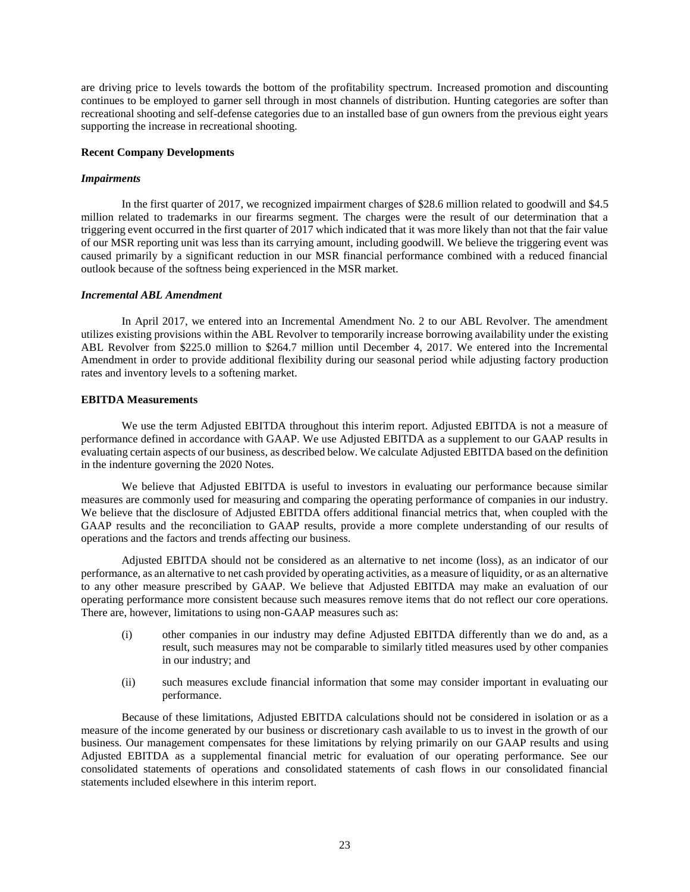are driving price to levels towards the bottom of the profitability spectrum. Increased promotion and discounting continues to be employed to garner sell through in most channels of distribution. Hunting categories are softer than recreational shooting and self-defense categories due to an installed base of gun owners from the previous eight years supporting the increase in recreational shooting.

# **Recent Company Developments**

#### *Impairments*

In the first quarter of 2017, we recognized impairment charges of \$28.6 million related to goodwill and \$4.5 million related to trademarks in our firearms segment. The charges were the result of our determination that a triggering event occurred in the first quarter of 2017 which indicated that it was more likely than not that the fair value of our MSR reporting unit was less than its carrying amount, including goodwill. We believe the triggering event was caused primarily by a significant reduction in our MSR financial performance combined with a reduced financial outlook because of the softness being experienced in the MSR market.

#### *Incremental ABL Amendment*

In April 2017, we entered into an Incremental Amendment No. 2 to our ABL Revolver. The amendment utilizes existing provisions within the ABL Revolver to temporarily increase borrowing availability under the existing ABL Revolver from \$225.0 million to \$264.7 million until December 4, 2017. We entered into the Incremental Amendment in order to provide additional flexibility during our seasonal period while adjusting factory production rates and inventory levels to a softening market.

# **EBITDA Measurements**

We use the term Adjusted EBITDA throughout this interim report. Adjusted EBITDA is not a measure of performance defined in accordance with GAAP. We use Adjusted EBITDA as a supplement to our GAAP results in evaluating certain aspects of our business, as described below. We calculate Adjusted EBITDA based on the definition in the indenture governing the 2020 Notes.

We believe that Adjusted EBITDA is useful to investors in evaluating our performance because similar measures are commonly used for measuring and comparing the operating performance of companies in our industry. We believe that the disclosure of Adjusted EBITDA offers additional financial metrics that, when coupled with the GAAP results and the reconciliation to GAAP results, provide a more complete understanding of our results of operations and the factors and trends affecting our business.

Adjusted EBITDA should not be considered as an alternative to net income (loss), as an indicator of our performance, as an alternative to net cash provided by operating activities, as a measure of liquidity, or as an alternative to any other measure prescribed by GAAP. We believe that Adjusted EBITDA may make an evaluation of our operating performance more consistent because such measures remove items that do not reflect our core operations. There are, however, limitations to using non-GAAP measures such as:

- (i) other companies in our industry may define Adjusted EBITDA differently than we do and, as a result, such measures may not be comparable to similarly titled measures used by other companies in our industry; and
- (ii) such measures exclude financial information that some may consider important in evaluating our performance.

Because of these limitations, Adjusted EBITDA calculations should not be considered in isolation or as a measure of the income generated by our business or discretionary cash available to us to invest in the growth of our business. Our management compensates for these limitations by relying primarily on our GAAP results and using Adjusted EBITDA as a supplemental financial metric for evaluation of our operating performance. See our consolidated statements of operations and consolidated statements of cash flows in our consolidated financial statements included elsewhere in this interim report.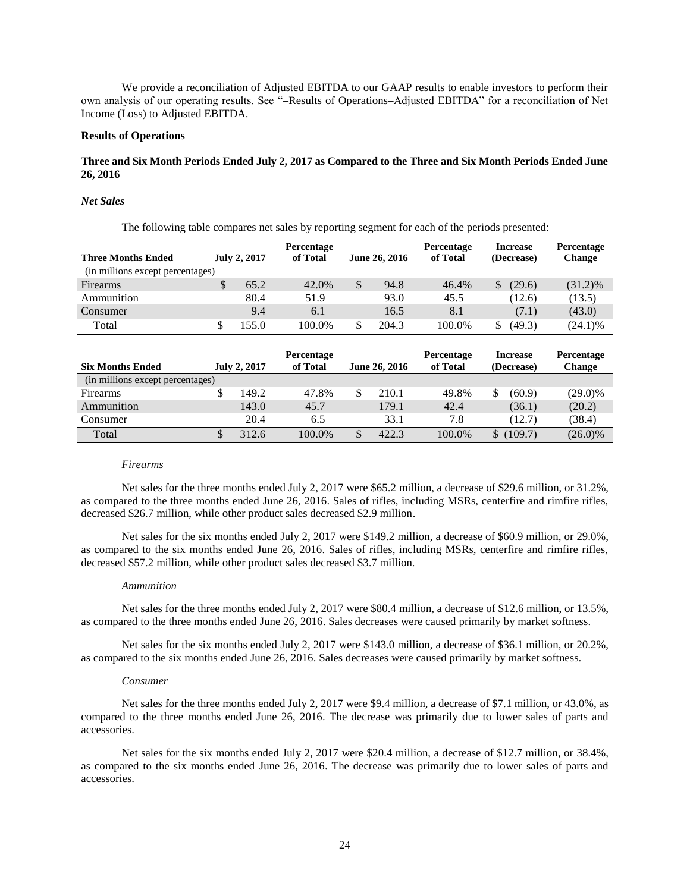We provide a reconciliation of Adjusted EBITDA to our GAAP results to enable investors to perform their own analysis of our operating results. See "**–**Results of Operations**–**Adjusted EBITDA" for a reconciliation of Net Income (Loss) to Adjusted EBITDA.

# **Results of Operations**

# **Three and Six Month Periods Ended July 2, 2017 as Compared to the Three and Six Month Periods Ended June 26, 2016**

#### *Net Sales*

The following table compares net sales by reporting segment for each of the periods presented:

| <b>Three Months Ended</b>        | <b>July 2, 2017</b> | <b>Percentage</b><br>of Total | June 26, 2016 | <b>Percentage</b><br>of Total | <b>Increase</b><br>(Decrease) | <b>Percentage</b><br><b>Change</b> |
|----------------------------------|---------------------|-------------------------------|---------------|-------------------------------|-------------------------------|------------------------------------|
| (in millions except percentages) |                     |                               |               |                               |                               |                                    |
| Firearms                         | \$<br>65.2          | 42.0%                         | \$<br>94.8    | 46.4%                         | (29.6)                        | $(31.2)\%$                         |
| Ammunition                       | 80.4                | 51.9                          | 93.0          | 45.5                          | (12.6)                        | (13.5)                             |
| Consumer                         | 9.4                 | 6.1                           | 16.5          | 8.1                           | (7.1)                         | (43.0)                             |
| Total                            | 155.0               | 100.0%                        | 204.3         | 100.0%                        | (49.3)                        | $(24.1)\%$                         |

| <b>Six Months Ended</b>          | <b>July 2, 2017</b> | <b>Percentage</b><br>of Total | June 26, 2016 | <b>Percentage</b><br>of Total |              | <b>Increase</b><br>(Decrease) | Percentage<br>Change |
|----------------------------------|---------------------|-------------------------------|---------------|-------------------------------|--------------|-------------------------------|----------------------|
| (in millions except percentages) |                     |                               |               |                               |              |                               |                      |
| Firearms                         | 149.2               | 47.8%                         | 210.1         | 49.8%                         | S            | (60.9)                        | $(29.0)\%$           |
| Ammunition                       | 143.0               | 45.7                          | 179.1         | 42.4                          |              | (36.1)                        | (20.2)               |
| Consumer                         | 20.4                | 6.5                           | 33.1          | 7.8                           |              | (12.7)                        | (38.4)               |
| Total                            | 312.6               | 100.0%                        | 422.3         | 100.0%                        | $\mathbb{S}$ | (109.7)                       | $(26.0)\%$           |

#### *Firearms*

Net sales for the three months ended July 2, 2017 were \$65.2 million, a decrease of \$29.6 million, or 31.2%, as compared to the three months ended June 26, 2016. Sales of rifles, including MSRs, centerfire and rimfire rifles, decreased \$26.7 million, while other product sales decreased \$2.9 million.

Net sales for the six months ended July 2, 2017 were \$149.2 million, a decrease of \$60.9 million, or 29.0%, as compared to the six months ended June 26, 2016. Sales of rifles, including MSRs, centerfire and rimfire rifles, decreased \$57.2 million, while other product sales decreased \$3.7 million.

#### *Ammunition*

Net sales for the three months ended July 2, 2017 were \$80.4 million, a decrease of \$12.6 million, or 13.5%, as compared to the three months ended June 26, 2016. Sales decreases were caused primarily by market softness.

Net sales for the six months ended July 2, 2017 were \$143.0 million, a decrease of \$36.1 million, or 20.2%, as compared to the six months ended June 26, 2016. Sales decreases were caused primarily by market softness.

#### *Consumer*

Net sales for the three months ended July 2, 2017 were \$9.4 million, a decrease of \$7.1 million, or 43.0%, as compared to the three months ended June 26, 2016. The decrease was primarily due to lower sales of parts and accessories.

Net sales for the six months ended July 2, 2017 were \$20.4 million, a decrease of \$12.7 million, or 38.4%, as compared to the six months ended June 26, 2016. The decrease was primarily due to lower sales of parts and accessories.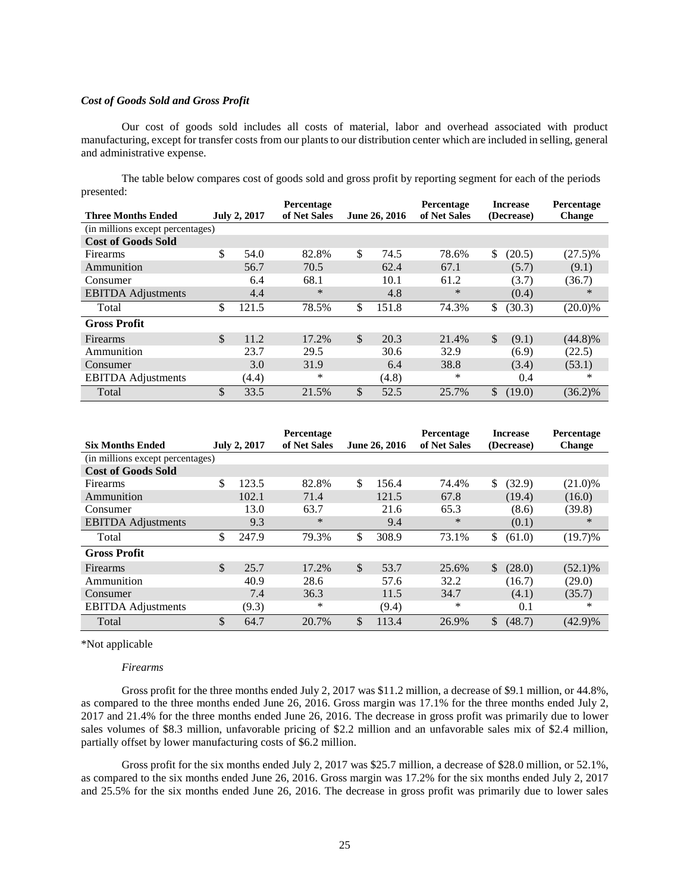#### *Cost of Goods Sold and Gross Profit*

Our cost of goods sold includes all costs of material, labor and overhead associated with product manufacturing, except for transfer costs from our plants to our distribution center which are included in selling, general and administrative expense.

The table below compares cost of goods sold and gross profit by reporting segment for each of the periods presented:

|                                  |                     | Percentage   |               | Percentage   | <b>Increase</b>        | Percentage    |
|----------------------------------|---------------------|--------------|---------------|--------------|------------------------|---------------|
| <b>Three Months Ended</b>        | <b>July 2, 2017</b> | of Net Sales | June 26, 2016 | of Net Sales | (Decrease)             | <b>Change</b> |
| (in millions except percentages) |                     |              |               |              |                        |               |
| <b>Cost of Goods Sold</b>        |                     |              |               |              |                        |               |
| Firearms                         | \$<br>54.0          | 82.8%        | \$<br>74.5    | 78.6%        | \$<br>(20.5)           | $(27.5)\%$    |
| Ammunition                       | 56.7                | 70.5         | 62.4          | 67.1         | (5.7)                  | (9.1)         |
| Consumer                         | 6.4                 | 68.1         | 10.1          | 61.2         | (3.7)                  | (36.7)        |
| <b>EBITDA</b> Adjustments        | 4.4                 | $\ast$       | 4.8           | $\ast$       | (0.4)                  | $*$           |
| Total                            | \$<br>121.5         | 78.5%        | \$<br>151.8   | 74.3%        | \$<br>(30.3)           | $(20.0)\%$    |
| <b>Gross Profit</b>              |                     |              |               |              |                        |               |
| <b>Firearms</b>                  | \$<br>11.2          | 17.2%        | \$<br>20.3    | 21.4%        | <sup>\$</sup><br>(9.1) | $(44.8)\%$    |
| Ammunition                       | 23.7                | 29.5         | 30.6          | 32.9         | (6.9)                  | (22.5)        |
| Consumer                         | 3.0                 | 31.9         | 6.4           | 38.8         | (3.4)                  | (53.1)        |
| <b>EBITDA</b> Adjustments        | (4.4)               | *            | (4.8)         | *            | 0.4                    | ∗             |
| Total                            | \$<br>33.5          | 21.5%        | \$<br>52.5    | 25.7%        | \$<br>(19.0)           | $(36.2)\%$    |

|                                  |               |                     | Percentage   |               |               | <b>Percentage</b> |     | <b>Increase</b> | <b>Percentage</b> |
|----------------------------------|---------------|---------------------|--------------|---------------|---------------|-------------------|-----|-----------------|-------------------|
| <b>Six Months Ended</b>          |               | <b>July 2, 2017</b> | of Net Sales |               | June 26, 2016 | of Net Sales      |     | (Decrease)      | <b>Change</b>     |
| (in millions except percentages) |               |                     |              |               |               |                   |     |                 |                   |
| <b>Cost of Goods Sold</b>        |               |                     |              |               |               |                   |     |                 |                   |
| <b>Firearms</b>                  | \$            | 123.5               | 82.8%        | \$            | 156.4         | 74.4%             | \$. | (32.9)          | $(21.0)\%$        |
| Ammunition                       |               | 102.1               | 71.4         |               | 121.5         | 67.8              |     | (19.4)          | (16.0)            |
| Consumer                         |               | 13.0                | 63.7         |               | 21.6          | 65.3              |     | (8.6)           | (39.8)            |
| <b>EBITDA</b> Adjustments        |               | 9.3                 | $\ast$       |               | 9.4           | $\ast$            |     | (0.1)           | $\ast$            |
| Total                            | \$            | 247.9               | 79.3%        | \$            | 308.9         | 73.1%             | \$  | (61.0)          | $(19.7)\%$        |
| <b>Gross Profit</b>              |               |                     |              |               |               |                   |     |                 |                   |
| Firearms                         | $\mathcal{S}$ | 25.7                | 17.2%        | <sup>\$</sup> | 53.7          | 25.6%             | \$  | (28.0)          | $(52.1)\%$        |
| Ammunition                       |               | 40.9                | 28.6         |               | 57.6          | 32.2              |     | (16.7)          | (29.0)            |
| Consumer                         |               | 7.4                 | 36.3         |               | 11.5          | 34.7              |     | (4.1)           | (35.7)            |
| <b>EBITDA</b> Adjustments        |               | (9.3)               | *            |               | (9.4)         | *                 |     | 0.1             | *                 |
| Total                            | \$            | 64.7                | 20.7%        | \$            | 113.4         | 26.9%             | \$  | (48.7)          | $(42.9)\%$        |

\*Not applicable

#### *Firearms*

Gross profit for the three months ended July 2, 2017 was \$11.2 million, a decrease of \$9.1 million, or 44.8%, as compared to the three months ended June 26, 2016. Gross margin was 17.1% for the three months ended July 2, 2017 and 21.4% for the three months ended June 26, 2016. The decrease in gross profit was primarily due to lower sales volumes of \$8.3 million, unfavorable pricing of \$2.2 million and an unfavorable sales mix of \$2.4 million, partially offset by lower manufacturing costs of \$6.2 million.

Gross profit for the six months ended July 2, 2017 was \$25.7 million, a decrease of \$28.0 million, or 52.1%, as compared to the six months ended June 26, 2016. Gross margin was 17.2% for the six months ended July 2, 2017 and 25.5% for the six months ended June 26, 2016. The decrease in gross profit was primarily due to lower sales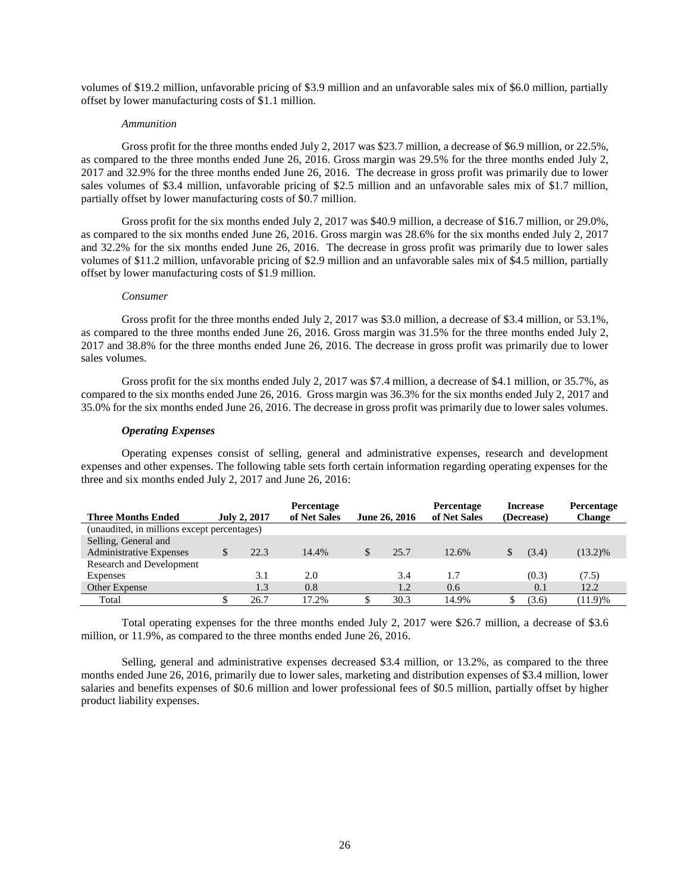volumes of \$19.2 million, unfavorable pricing of \$3.9 million and an unfavorable sales mix of \$6.0 million, partially offset by lower manufacturing costs of \$1.1 million.

#### *Ammunition*

Gross profit for the three months ended July 2, 2017 was \$23.7 million, a decrease of \$6.9 million, or 22.5%, as compared to the three months ended June 26, 2016. Gross margin was 29.5% for the three months ended July 2, 2017 and 32.9% for the three months ended June 26, 2016. The decrease in gross profit was primarily due to lower sales volumes of \$3.4 million, unfavorable pricing of \$2.5 million and an unfavorable sales mix of \$1.7 million, partially offset by lower manufacturing costs of \$0.7 million.

Gross profit for the six months ended July 2, 2017 was \$40.9 million, a decrease of \$16.7 million, or 29.0%, as compared to the six months ended June 26, 2016. Gross margin was 28.6% for the six months ended July 2, 2017 and 32.2% for the six months ended June 26, 2016. The decrease in gross profit was primarily due to lower sales volumes of \$11.2 million, unfavorable pricing of \$2.9 million and an unfavorable sales mix of \$4.5 million, partially offset by lower manufacturing costs of \$1.9 million.

#### *Consumer*

Gross profit for the three months ended July 2, 2017 was \$3.0 million, a decrease of \$3.4 million, or 53.1%, as compared to the three months ended June 26, 2016. Gross margin was 31.5% for the three months ended July 2, 2017 and 38.8% for the three months ended June 26, 2016. The decrease in gross profit was primarily due to lower sales volumes.

Gross profit for the six months ended July 2, 2017 was \$7.4 million, a decrease of \$4.1 million, or 35.7%, as compared to the six months ended June 26, 2016. Gross margin was 36.3% for the six months ended July 2, 2017 and 35.0% for the six months ended June 26, 2016. The decrease in gross profit was primarily due to lower sales volumes.

#### *Operating Expenses*

Operating expenses consist of selling, general and administrative expenses, research and development expenses and other expenses. The following table sets forth certain information regarding operating expenses for the three and six months ended July 2, 2017 and June 26, 2016:

|                                             |                     | Percentage   |               | Percentage   | <b>Increase</b> | <b>Percentage</b> |
|---------------------------------------------|---------------------|--------------|---------------|--------------|-----------------|-------------------|
| <b>Three Months Ended</b>                   | <b>July 2, 2017</b> | of Net Sales | June 26, 2016 | of Net Sales | (Decrease)      | <b>Change</b>     |
| (unaudited, in millions except percentages) |                     |              |               |              |                 |                   |
| Selling, General and                        |                     |              |               |              |                 |                   |
| <b>Administrative Expenses</b>              | \$<br>22.3          | 14.4%        | 25.7          | 12.6%        | (3.4)           | $(13.2)\%$        |
| Research and Development                    |                     |              |               |              |                 |                   |
| Expenses                                    | 3.1                 | 2.0          | 3.4           | 1.7          | (0.3)           | (7.5)             |
| Other Expense                               | 1.3                 | 0.8          | 1.2           | 0.6          | 0.1             | 12.2              |
| Total                                       | 26.7                | 17.2%        | 30.3          | 14.9%        | (3.6)           | (11.9)%           |

Total operating expenses for the three months ended July 2, 2017 were \$26.7 million, a decrease of \$3.6 million, or 11.9%, as compared to the three months ended June 26, 2016.

Selling, general and administrative expenses decreased \$3.4 million, or 13.2%, as compared to the three months ended June 26, 2016, primarily due to lower sales, marketing and distribution expenses of \$3.4 million, lower salaries and benefits expenses of \$0.6 million and lower professional fees of \$0.5 million, partially offset by higher product liability expenses.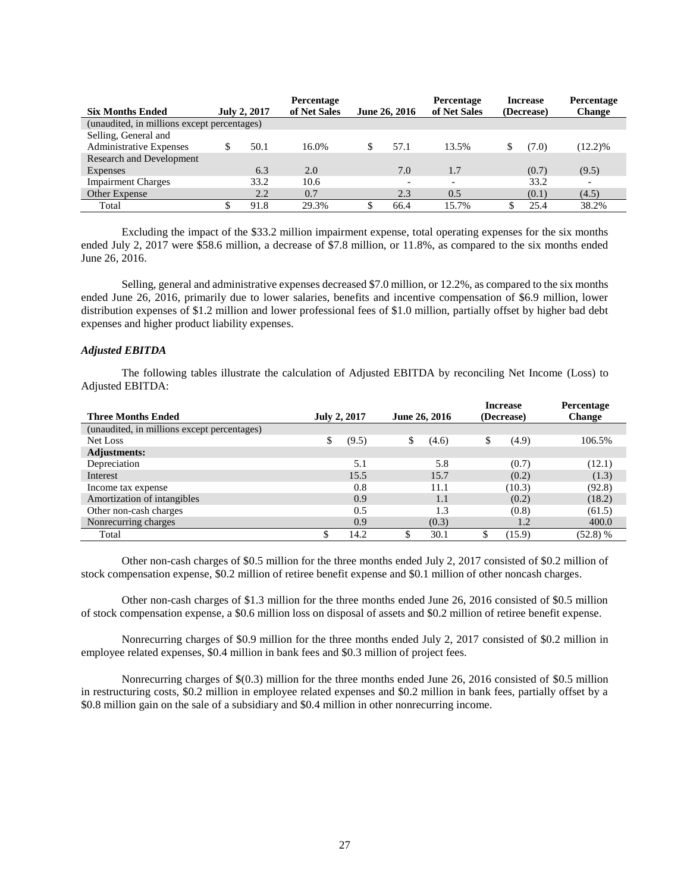|                                             |                     | Percentage   |               | Percentage   | Increase   | Percentage               |
|---------------------------------------------|---------------------|--------------|---------------|--------------|------------|--------------------------|
| <b>Six Months Ended</b>                     | <b>July 2, 2017</b> | of Net Sales | June 26, 2016 | of Net Sales | (Decrease) | <b>Change</b>            |
| (unaudited, in millions except percentages) |                     |              |               |              |            |                          |
| Selling, General and                        |                     |              |               |              |            |                          |
| <b>Administrative Expenses</b>              | 50.1                | 16.0%        | 57.1          | 13.5%        | (7.0)      | $(12.2)\%$               |
| <b>Research and Development</b>             |                     |              |               |              |            |                          |
| <b>Expenses</b>                             | 6.3                 | 2.0          | 7.0           | 1.7          | (0.7)      | (9.5)                    |
| <b>Impairment Charges</b>                   | 33.2                | 10.6         |               |              | 33.2       | $\overline{\phantom{0}}$ |
| Other Expense                               | 2.2                 | 0.7          | 2.3           | 0.5          | (0.1)      | (4.5)                    |
| Total                                       | 91.8                | 29.3%        | 66.4          | 15.7%        | 25.4       | 38.2%                    |

Excluding the impact of the \$33.2 million impairment expense, total operating expenses for the six months ended July 2, 2017 were \$58.6 million, a decrease of \$7.8 million, or 11.8%, as compared to the six months ended June 26, 2016.

Selling, general and administrative expenses decreased \$7.0 million, or 12.2%, as compared to the six months ended June 26, 2016, primarily due to lower salaries, benefits and incentive compensation of \$6.9 million, lower distribution expenses of \$1.2 million and lower professional fees of \$1.0 million, partially offset by higher bad debt expenses and higher product liability expenses.

# *Adjusted EBITDA*

The following tables illustrate the calculation of Adjusted EBITDA by reconciling Net Income (Loss) to Adjusted EBITDA:

| <b>Three Months Ended</b>                   | <b>July 2, 2017</b> |       | June 26, 2016 | <b>Increase</b><br>(Decrease) | Percentage<br><b>Change</b> |
|---------------------------------------------|---------------------|-------|---------------|-------------------------------|-----------------------------|
| (unaudited, in millions except percentages) |                     |       |               |                               |                             |
| Net Loss                                    | \$                  | (9.5) | \$<br>(4.6)   | \$<br>(4.9)                   | 106.5%                      |
| <b>Adjustments:</b>                         |                     |       |               |                               |                             |
| Depreciation                                |                     | 5.1   | 5.8           | (0.7)                         | (12.1)                      |
| Interest                                    |                     | 15.5  | 15.7          | (0.2)                         | (1.3)                       |
| Income tax expense                          |                     | 0.8   | 11.1          | (10.3)                        | (92.8)                      |
| Amortization of intangibles                 |                     | 0.9   | 1.1           | (0.2)                         | (18.2)                      |
| Other non-cash charges                      |                     | 0.5   | 1.3           | (0.8)                         | (61.5)                      |
| Nonrecurring charges                        |                     | 0.9   | (0.3)         | 1.2                           | 400.0                       |
| Total                                       |                     | 14.2  | 30.1          | (15.9)                        | $(52.8)$ %                  |

Other non-cash charges of \$0.5 million for the three months ended July 2, 2017 consisted of \$0.2 million of stock compensation expense, \$0.2 million of retiree benefit expense and \$0.1 million of other noncash charges.

Other non-cash charges of \$1.3 million for the three months ended June 26, 2016 consisted of \$0.5 million of stock compensation expense, a \$0.6 million loss on disposal of assets and \$0.2 million of retiree benefit expense.

Nonrecurring charges of \$0.9 million for the three months ended July 2, 2017 consisted of \$0.2 million in employee related expenses, \$0.4 million in bank fees and \$0.3 million of project fees.

Nonrecurring charges of \$(0.3) million for the three months ended June 26, 2016 consisted of \$0.5 million in restructuring costs, \$0.2 million in employee related expenses and \$0.2 million in bank fees, partially offset by a \$0.8 million gain on the sale of a subsidiary and \$0.4 million in other nonrecurring income.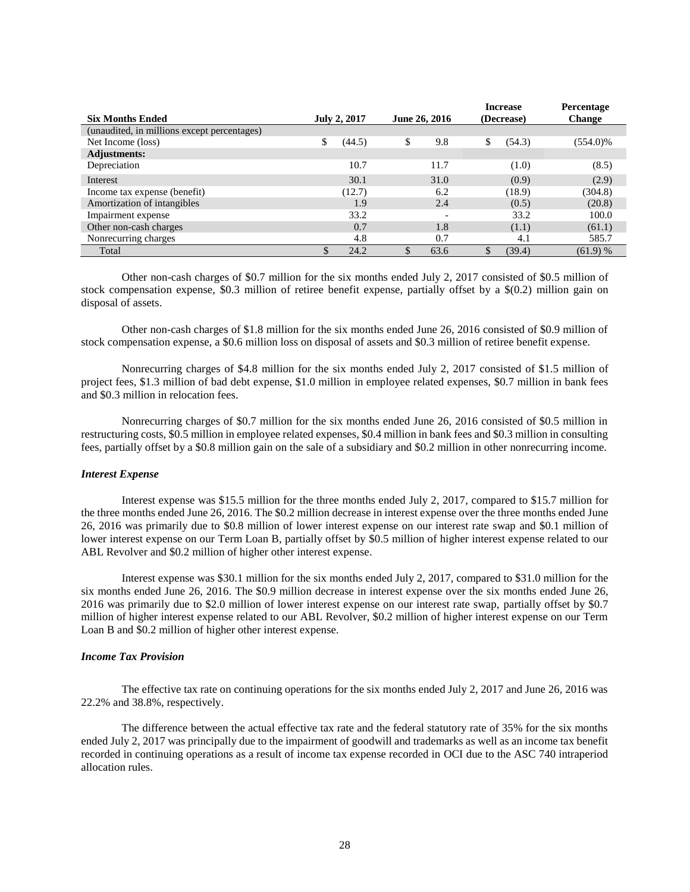|                                             |                     |        |               |                          |            | <b>Increase</b> | Percentage    |
|---------------------------------------------|---------------------|--------|---------------|--------------------------|------------|-----------------|---------------|
| <b>Six Months Ended</b>                     | <b>July 2, 2017</b> |        | June 26, 2016 |                          | (Decrease) |                 | <b>Change</b> |
| (unaudited, in millions except percentages) |                     |        |               |                          |            |                 |               |
| Net Income (loss)                           | \$                  | (44.5) | \$            | 9.8                      | \$         | (54.3)          | $(554.0)\%$   |
| <b>Adjustments:</b>                         |                     |        |               |                          |            |                 |               |
| Depreciation                                |                     | 10.7   |               | 11.7                     |            | (1.0)           | (8.5)         |
| Interest                                    |                     | 30.1   |               | 31.0                     |            | (0.9)           | (2.9)         |
| Income tax expense (benefit)                |                     | (12.7) |               | 6.2                      |            | (18.9)          | (304.8)       |
| Amortization of intangibles                 |                     | 1.9    |               | 2.4                      |            | (0.5)           | (20.8)        |
| Impairment expense                          |                     | 33.2   |               | $\overline{\phantom{a}}$ |            | 33.2            | 100.0         |
| Other non-cash charges                      |                     | 0.7    |               | 1.8                      |            | (1.1)           | (61.1)        |
| Nonrecurring charges                        |                     | 4.8    |               | 0.7                      |            | 4.1             | 585.7         |
| Total                                       |                     | 24.2   |               | 63.6                     |            | (39.4)          | (61.9) %      |

Other non-cash charges of \$0.7 million for the six months ended July 2, 2017 consisted of \$0.5 million of stock compensation expense, \$0.3 million of retiree benefit expense, partially offset by a \$(0.2) million gain on disposal of assets.

Other non-cash charges of \$1.8 million for the six months ended June 26, 2016 consisted of \$0.9 million of stock compensation expense, a \$0.6 million loss on disposal of assets and \$0.3 million of retiree benefit expense.

Nonrecurring charges of \$4.8 million for the six months ended July 2, 2017 consisted of \$1.5 million of project fees, \$1.3 million of bad debt expense, \$1.0 million in employee related expenses, \$0.7 million in bank fees and \$0.3 million in relocation fees.

Nonrecurring charges of \$0.7 million for the six months ended June 26, 2016 consisted of \$0.5 million in restructuring costs, \$0.5 million in employee related expenses, \$0.4 million in bank fees and \$0.3 million in consulting fees, partially offset by a \$0.8 million gain on the sale of a subsidiary and \$0.2 million in other nonrecurring income.

#### *Interest Expense*

Interest expense was \$15.5 million for the three months ended July 2, 2017, compared to \$15.7 million for the three months ended June 26, 2016. The \$0.2 million decrease in interest expense over the three months ended June 26, 2016 was primarily due to \$0.8 million of lower interest expense on our interest rate swap and \$0.1 million of lower interest expense on our Term Loan B, partially offset by \$0.5 million of higher interest expense related to our ABL Revolver and \$0.2 million of higher other interest expense.

Interest expense was \$30.1 million for the six months ended July 2, 2017, compared to \$31.0 million for the six months ended June 26, 2016. The \$0.9 million decrease in interest expense over the six months ended June 26, 2016 was primarily due to \$2.0 million of lower interest expense on our interest rate swap, partially offset by \$0.7 million of higher interest expense related to our ABL Revolver, \$0.2 million of higher interest expense on our Term Loan B and \$0.2 million of higher other interest expense.

#### *Income Tax Provision*

The effective tax rate on continuing operations for the six months ended July 2, 2017 and June 26, 2016 was 22.2% and 38.8%, respectively.

The difference between the actual effective tax rate and the federal statutory rate of 35% for the six months ended July 2, 2017 was principally due to the impairment of goodwill and trademarks as well as an income tax benefit recorded in continuing operations as a result of income tax expense recorded in OCI due to the ASC 740 intraperiod allocation rules.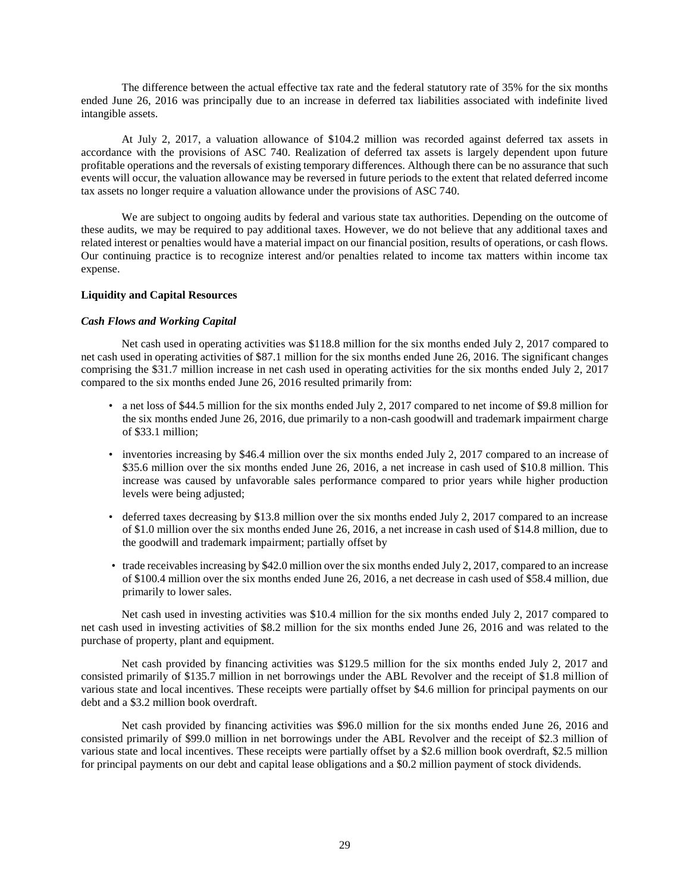The difference between the actual effective tax rate and the federal statutory rate of 35% for the six months ended June 26, 2016 was principally due to an increase in deferred tax liabilities associated with indefinite lived intangible assets.

At July 2, 2017, a valuation allowance of \$104.2 million was recorded against deferred tax assets in accordance with the provisions of ASC 740. Realization of deferred tax assets is largely dependent upon future profitable operations and the reversals of existing temporary differences. Although there can be no assurance that such events will occur, the valuation allowance may be reversed in future periods to the extent that related deferred income tax assets no longer require a valuation allowance under the provisions of ASC 740.

We are subject to ongoing audits by federal and various state tax authorities. Depending on the outcome of these audits, we may be required to pay additional taxes. However, we do not believe that any additional taxes and related interest or penalties would have a material impact on our financial position, results of operations, or cash flows. Our continuing practice is to recognize interest and/or penalties related to income tax matters within income tax expense.

# **Liquidity and Capital Resources**

#### *Cash Flows and Working Capital*

Net cash used in operating activities was \$118.8 million for the six months ended July 2, 2017 compared to net cash used in operating activities of \$87.1 million for the six months ended June 26, 2016. The significant changes comprising the \$31.7 million increase in net cash used in operating activities for the six months ended July 2, 2017 compared to the six months ended June 26, 2016 resulted primarily from:

- a net loss of \$44.5 million for the six months ended July 2, 2017 compared to net income of \$9.8 million for the six months ended June 26, 2016, due primarily to a non-cash goodwill and trademark impairment charge of \$33.1 million;
- inventories increasing by \$46.4 million over the six months ended July 2, 2017 compared to an increase of \$35.6 million over the six months ended June 26, 2016, a net increase in cash used of \$10.8 million. This increase was caused by unfavorable sales performance compared to prior years while higher production levels were being adjusted;
- deferred taxes decreasing by \$13.8 million over the six months ended July 2, 2017 compared to an increase of \$1.0 million over the six months ended June 26, 2016, a net increase in cash used of \$14.8 million, due to the goodwill and trademark impairment; partially offset by
- trade receivables increasing by \$42.0 million over the six months ended July 2, 2017, compared to an increase of \$100.4 million over the six months ended June 26, 2016, a net decrease in cash used of \$58.4 million, due primarily to lower sales.

Net cash used in investing activities was \$10.4 million for the six months ended July 2, 2017 compared to net cash used in investing activities of \$8.2 million for the six months ended June 26, 2016 and was related to the purchase of property, plant and equipment.

Net cash provided by financing activities was \$129.5 million for the six months ended July 2, 2017 and consisted primarily of \$135.7 million in net borrowings under the ABL Revolver and the receipt of \$1.8 million of various state and local incentives. These receipts were partially offset by \$4.6 million for principal payments on our debt and a \$3.2 million book overdraft.

Net cash provided by financing activities was \$96.0 million for the six months ended June 26, 2016 and consisted primarily of \$99.0 million in net borrowings under the ABL Revolver and the receipt of \$2.3 million of various state and local incentives. These receipts were partially offset by a \$2.6 million book overdraft, \$2.5 million for principal payments on our debt and capital lease obligations and a \$0.2 million payment of stock dividends.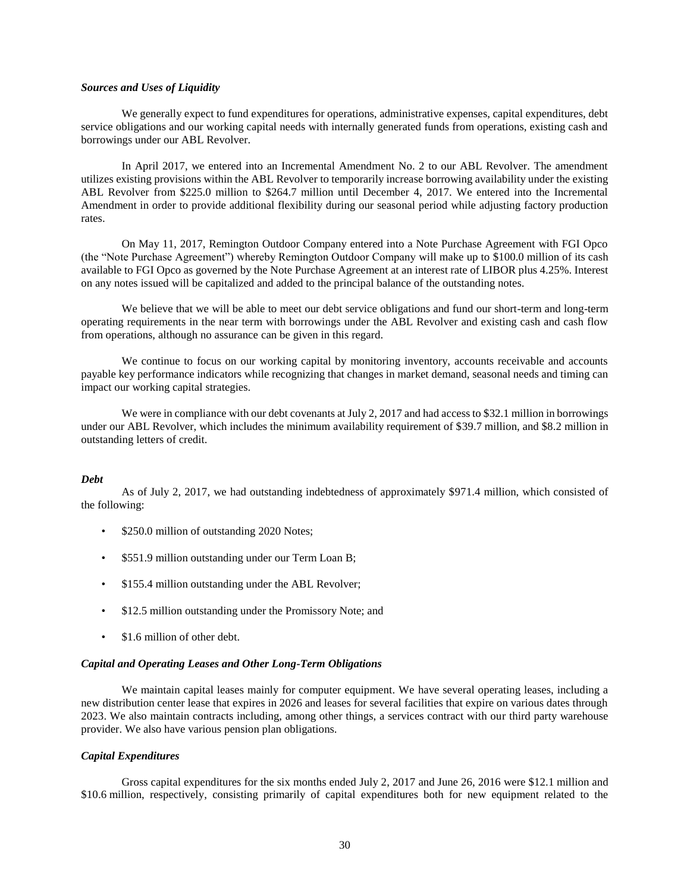#### *Sources and Uses of Liquidity*

We generally expect to fund expenditures for operations, administrative expenses, capital expenditures, debt service obligations and our working capital needs with internally generated funds from operations, existing cash and borrowings under our ABL Revolver.

In April 2017, we entered into an Incremental Amendment No. 2 to our ABL Revolver. The amendment utilizes existing provisions within the ABL Revolver to temporarily increase borrowing availability under the existing ABL Revolver from \$225.0 million to \$264.7 million until December 4, 2017. We entered into the Incremental Amendment in order to provide additional flexibility during our seasonal period while adjusting factory production rates.

On May 11, 2017, Remington Outdoor Company entered into a Note Purchase Agreement with FGI Opco (the "Note Purchase Agreement") whereby Remington Outdoor Company will make up to \$100.0 million of its cash available to FGI Opco as governed by the Note Purchase Agreement at an interest rate of LIBOR plus 4.25%. Interest on any notes issued will be capitalized and added to the principal balance of the outstanding notes.

We believe that we will be able to meet our debt service obligations and fund our short-term and long-term operating requirements in the near term with borrowings under the ABL Revolver and existing cash and cash flow from operations, although no assurance can be given in this regard.

We continue to focus on our working capital by monitoring inventory, accounts receivable and accounts payable key performance indicators while recognizing that changes in market demand, seasonal needs and timing can impact our working capital strategies.

We were in compliance with our debt covenants at July 2, 2017 and had access to \$32.1 million in borrowings under our ABL Revolver, which includes the minimum availability requirement of \$39.7 million, and \$8.2 million in outstanding letters of credit.

# *Debt*

As of July 2, 2017, we had outstanding indebtedness of approximately \$971.4 million, which consisted of the following:

- \$250.0 million of outstanding 2020 Notes;
- \$551.9 million outstanding under our Term Loan B;
- \$155.4 million outstanding under the ABL Revolver;
- \$12.5 million outstanding under the Promissory Note; and
- \$1.6 million of other debt.

# *Capital and Operating Leases and Other Long-Term Obligations*

We maintain capital leases mainly for computer equipment. We have several operating leases, including a new distribution center lease that expires in 2026 and leases for several facilities that expire on various dates through 2023. We also maintain contracts including, among other things, a services contract with our third party warehouse provider. We also have various pension plan obligations.

# *Capital Expenditures*

Gross capital expenditures for the six months ended July 2, 2017 and June 26, 2016 were \$12.1 million and \$10.6 million, respectively, consisting primarily of capital expenditures both for new equipment related to the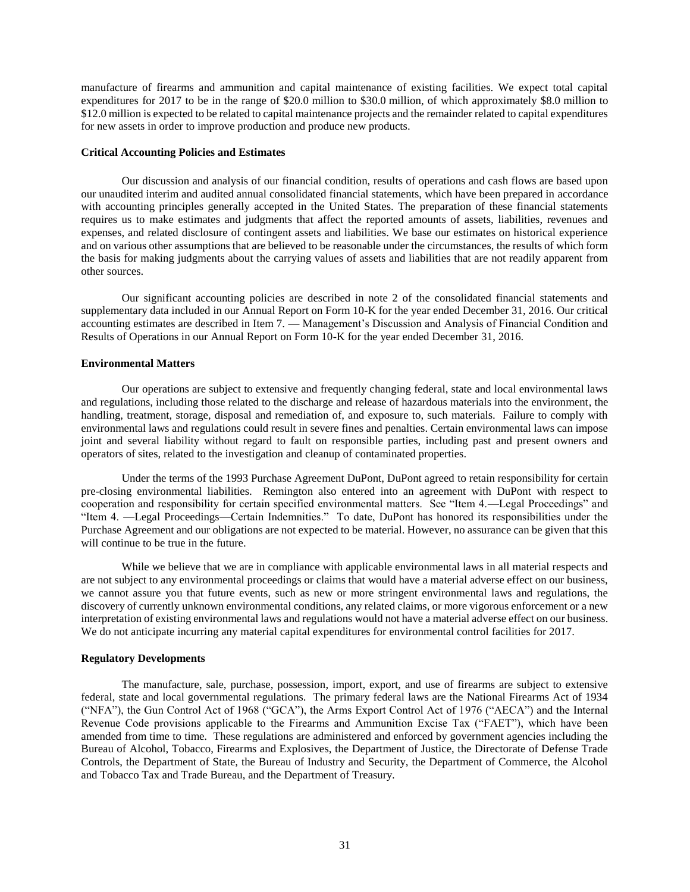manufacture of firearms and ammunition and capital maintenance of existing facilities. We expect total capital expenditures for 2017 to be in the range of \$20.0 million to \$30.0 million, of which approximately \$8.0 million to \$12.0 million is expected to be related to capital maintenance projects and the remainder related to capital expenditures for new assets in order to improve production and produce new products.

#### **Critical Accounting Policies and Estimates**

Our discussion and analysis of our financial condition, results of operations and cash flows are based upon our unaudited interim and audited annual consolidated financial statements, which have been prepared in accordance with accounting principles generally accepted in the United States. The preparation of these financial statements requires us to make estimates and judgments that affect the reported amounts of assets, liabilities, revenues and expenses, and related disclosure of contingent assets and liabilities. We base our estimates on historical experience and on various other assumptions that are believed to be reasonable under the circumstances, the results of which form the basis for making judgments about the carrying values of assets and liabilities that are not readily apparent from other sources.

Our significant accounting policies are described in note 2 of the consolidated financial statements and supplementary data included in our Annual Report on Form 10-K for the year ended December 31, 2016. Our critical accounting estimates are described in Item 7. — Management's Discussion and Analysis of Financial Condition and Results of Operations in our Annual Report on Form 10-K for the year ended December 31, 2016.

# **Environmental Matters**

Our operations are subject to extensive and frequently changing federal, state and local environmental laws and regulations, including those related to the discharge and release of hazardous materials into the environment, the handling, treatment, storage, disposal and remediation of, and exposure to, such materials. Failure to comply with environmental laws and regulations could result in severe fines and penalties. Certain environmental laws can impose joint and several liability without regard to fault on responsible parties, including past and present owners and operators of sites, related to the investigation and cleanup of contaminated properties.

Under the terms of the 1993 Purchase Agreement DuPont, DuPont agreed to retain responsibility for certain pre-closing environmental liabilities. Remington also entered into an agreement with DuPont with respect to cooperation and responsibility for certain specified environmental matters. See "Item 4.—Legal Proceedings" and "Item 4. —Legal Proceedings—Certain Indemnities." To date, DuPont has honored its responsibilities under the Purchase Agreement and our obligations are not expected to be material. However, no assurance can be given that this will continue to be true in the future.

While we believe that we are in compliance with applicable environmental laws in all material respects and are not subject to any environmental proceedings or claims that would have a material adverse effect on our business, we cannot assure you that future events, such as new or more stringent environmental laws and regulations, the discovery of currently unknown environmental conditions, any related claims, or more vigorous enforcement or a new interpretation of existing environmental laws and regulations would not have a material adverse effect on our business. We do not anticipate incurring any material capital expenditures for environmental control facilities for 2017.

# **Regulatory Developments**

The manufacture, sale, purchase, possession, import, export, and use of firearms are subject to extensive federal, state and local governmental regulations. The primary federal laws are the National Firearms Act of 1934 ("NFA"), the Gun Control Act of 1968 ("GCA"), the Arms Export Control Act of 1976 ("AECA") and the Internal Revenue Code provisions applicable to the Firearms and Ammunition Excise Tax ("FAET"), which have been amended from time to time. These regulations are administered and enforced by government agencies including the Bureau of Alcohol, Tobacco, Firearms and Explosives, the Department of Justice, the Directorate of Defense Trade Controls, the Department of State, the Bureau of Industry and Security, the Department of Commerce, the Alcohol and Tobacco Tax and Trade Bureau, and the Department of Treasury.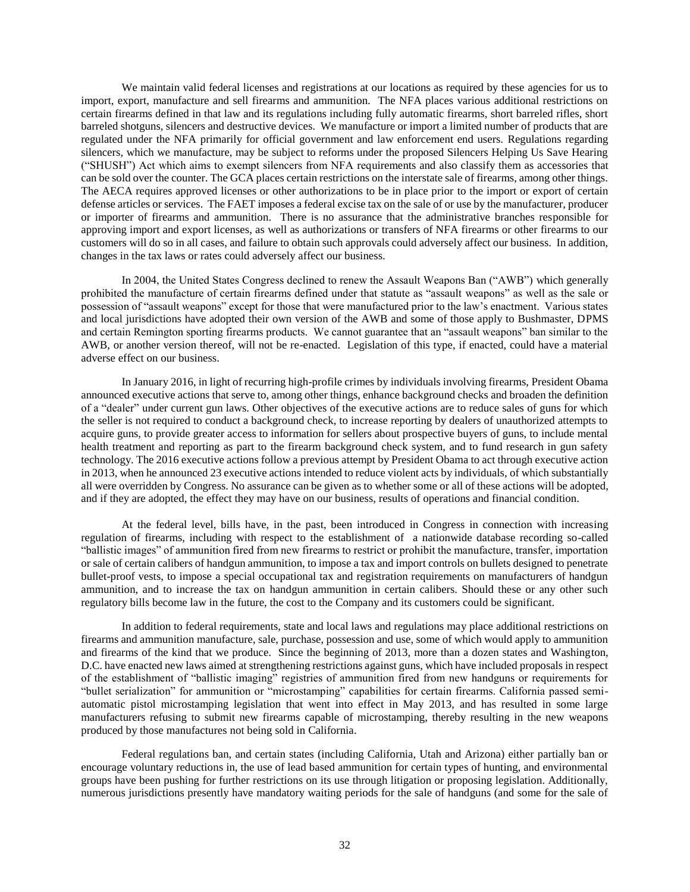We maintain valid federal licenses and registrations at our locations as required by these agencies for us to import, export, manufacture and sell firearms and ammunition. The NFA places various additional restrictions on certain firearms defined in that law and its regulations including fully automatic firearms, short barreled rifles, short barreled shotguns, silencers and destructive devices. We manufacture or import a limited number of products that are regulated under the NFA primarily for official government and law enforcement end users. Regulations regarding silencers, which we manufacture, may be subject to reforms under the proposed Silencers Helping Us Save Hearing ("SHUSH") Act which aims to exempt silencers from NFA requirements and also classify them as accessories that can be sold over the counter. The GCA places certain restrictions on the interstate sale of firearms, among other things. The AECA requires approved licenses or other authorizations to be in place prior to the import or export of certain defense articles or services. The FAET imposes a federal excise tax on the sale of or use by the manufacturer, producer or importer of firearms and ammunition. There is no assurance that the administrative branches responsible for approving import and export licenses, as well as authorizations or transfers of NFA firearms or other firearms to our customers will do so in all cases, and failure to obtain such approvals could adversely affect our business. In addition, changes in the tax laws or rates could adversely affect our business.

In 2004, the United States Congress declined to renew the Assault Weapons Ban ("AWB") which generally prohibited the manufacture of certain firearms defined under that statute as "assault weapons" as well as the sale or possession of "assault weapons" except for those that were manufactured prior to the law's enactment. Various states and local jurisdictions have adopted their own version of the AWB and some of those apply to Bushmaster, DPMS and certain Remington sporting firearms products. We cannot guarantee that an "assault weapons" ban similar to the AWB, or another version thereof, will not be re-enacted. Legislation of this type, if enacted, could have a material adverse effect on our business.

In January 2016, in light of recurring high-profile crimes by individuals involving firearms, President Obama announced executive actions that serve to, among other things, enhance background checks and broaden the definition of a "dealer" under current gun laws. Other objectives of the executive actions are to reduce sales of guns for which the seller is not required to conduct a background check, to increase reporting by dealers of unauthorized attempts to acquire guns, to provide greater access to information for sellers about prospective buyers of guns, to include mental health treatment and reporting as part to the firearm background check system, and to fund research in gun safety technology. The 2016 executive actions follow a previous attempt by President Obama to act through executive action in 2013, when he announced 23 executive actions intended to reduce violent acts by individuals, of which substantially all were overridden by Congress. No assurance can be given as to whether some or all of these actions will be adopted, and if they are adopted, the effect they may have on our business, results of operations and financial condition.

At the federal level, bills have, in the past, been introduced in Congress in connection with increasing regulation of firearms, including with respect to the establishment of a nationwide database recording so-called "ballistic images" of ammunition fired from new firearms to restrict or prohibit the manufacture, transfer, importation or sale of certain calibers of handgun ammunition, to impose a tax and import controls on bullets designed to penetrate bullet-proof vests, to impose a special occupational tax and registration requirements on manufacturers of handgun ammunition, and to increase the tax on handgun ammunition in certain calibers. Should these or any other such regulatory bills become law in the future, the cost to the Company and its customers could be significant.

In addition to federal requirements, state and local laws and regulations may place additional restrictions on firearms and ammunition manufacture, sale, purchase, possession and use, some of which would apply to ammunition and firearms of the kind that we produce. Since the beginning of 2013, more than a dozen states and Washington, D.C. have enacted new laws aimed at strengthening restrictions against guns, which have included proposals in respect of the establishment of "ballistic imaging" registries of ammunition fired from new handguns or requirements for "bullet serialization" for ammunition or "microstamping" capabilities for certain firearms. California passed semiautomatic pistol microstamping legislation that went into effect in May 2013, and has resulted in some large manufacturers refusing to submit new firearms capable of microstamping, thereby resulting in the new weapons produced by those manufactures not being sold in California.

Federal regulations ban, and certain states (including California, Utah and Arizona) either partially ban or encourage voluntary reductions in, the use of lead based ammunition for certain types of hunting, and environmental groups have been pushing for further restrictions on its use through litigation or proposing legislation. Additionally, numerous jurisdictions presently have mandatory waiting periods for the sale of handguns (and some for the sale of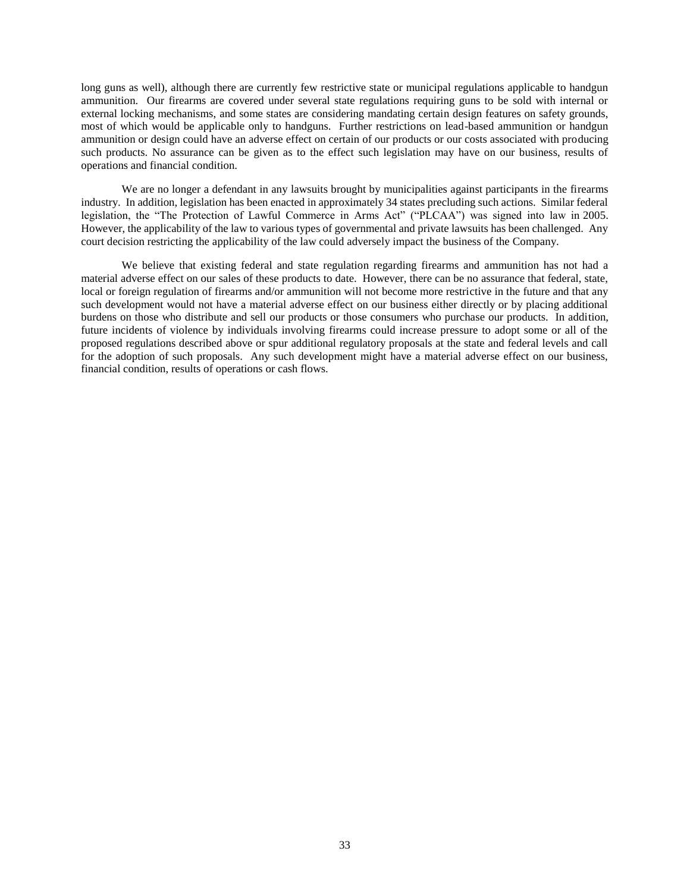long guns as well), although there are currently few restrictive state or municipal regulations applicable to handgun ammunition. Our firearms are covered under several state regulations requiring guns to be sold with internal or external locking mechanisms, and some states are considering mandating certain design features on safety grounds, most of which would be applicable only to handguns. Further restrictions on lead-based ammunition or handgun ammunition or design could have an adverse effect on certain of our products or our costs associated with producing such products. No assurance can be given as to the effect such legislation may have on our business, results of operations and financial condition.

We are no longer a defendant in any lawsuits brought by municipalities against participants in the firearms industry. In addition, legislation has been enacted in approximately 34 states precluding such actions. Similar federal legislation, the "The Protection of Lawful Commerce in Arms Act" ("PLCAA") was signed into law in 2005. However, the applicability of the law to various types of governmental and private lawsuits has been challenged. Any court decision restricting the applicability of the law could adversely impact the business of the Company.

We believe that existing federal and state regulation regarding firearms and ammunition has not had a material adverse effect on our sales of these products to date. However, there can be no assurance that federal, state, local or foreign regulation of firearms and/or ammunition will not become more restrictive in the future and that any such development would not have a material adverse effect on our business either directly or by placing additional burdens on those who distribute and sell our products or those consumers who purchase our products. In addition, future incidents of violence by individuals involving firearms could increase pressure to adopt some or all of the proposed regulations described above or spur additional regulatory proposals at the state and federal levels and call for the adoption of such proposals. Any such development might have a material adverse effect on our business, financial condition, results of operations or cash flows.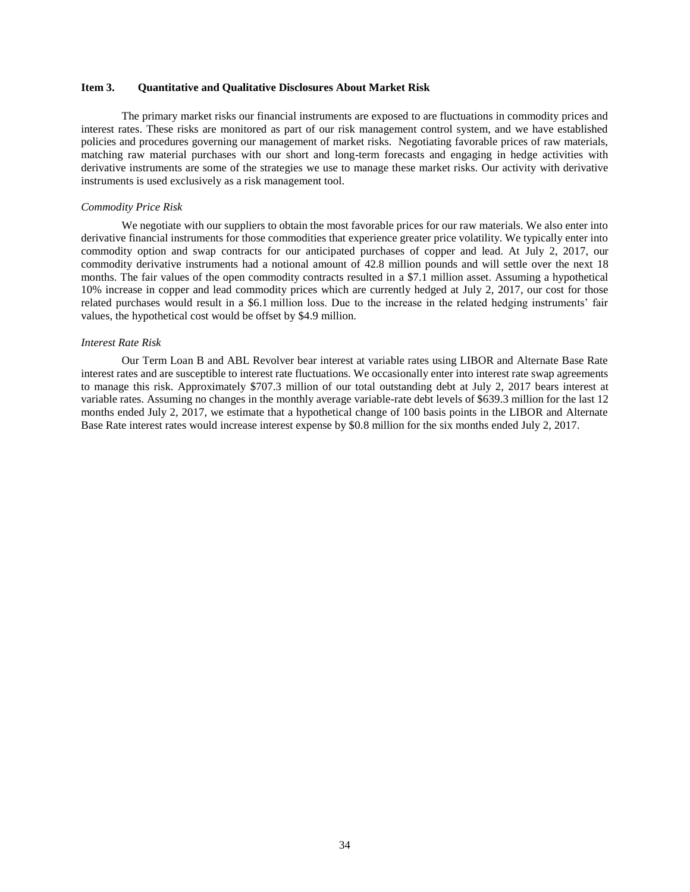# **Item 3. Quantitative and Qualitative Disclosures About Market Risk**

The primary market risks our financial instruments are exposed to are fluctuations in commodity prices and interest rates. These risks are monitored as part of our risk management control system, and we have established policies and procedures governing our management of market risks. Negotiating favorable prices of raw materials, matching raw material purchases with our short and long-term forecasts and engaging in hedge activities with derivative instruments are some of the strategies we use to manage these market risks. Our activity with derivative instruments is used exclusively as a risk management tool.

#### *Commodity Price Risk*

We negotiate with our suppliers to obtain the most favorable prices for our raw materials. We also enter into derivative financial instruments for those commodities that experience greater price volatility. We typically enter into commodity option and swap contracts for our anticipated purchases of copper and lead. At July 2, 2017, our commodity derivative instruments had a notional amount of 42.8 million pounds and will settle over the next 18 months. The fair values of the open commodity contracts resulted in a \$7.1 million asset. Assuming a hypothetical 10% increase in copper and lead commodity prices which are currently hedged at July 2, 2017, our cost for those related purchases would result in a \$6.1 million loss. Due to the increase in the related hedging instruments' fair values, the hypothetical cost would be offset by \$4.9 million.

#### *Interest Rate Risk*

Our Term Loan B and ABL Revolver bear interest at variable rates using LIBOR and Alternate Base Rate interest rates and are susceptible to interest rate fluctuations. We occasionally enter into interest rate swap agreements to manage this risk. Approximately \$707.3 million of our total outstanding debt at July 2, 2017 bears interest at variable rates. Assuming no changes in the monthly average variable-rate debt levels of \$639.3 million for the last 12 months ended July 2, 2017, we estimate that a hypothetical change of 100 basis points in the LIBOR and Alternate Base Rate interest rates would increase interest expense by \$0.8 million for the six months ended July 2, 2017.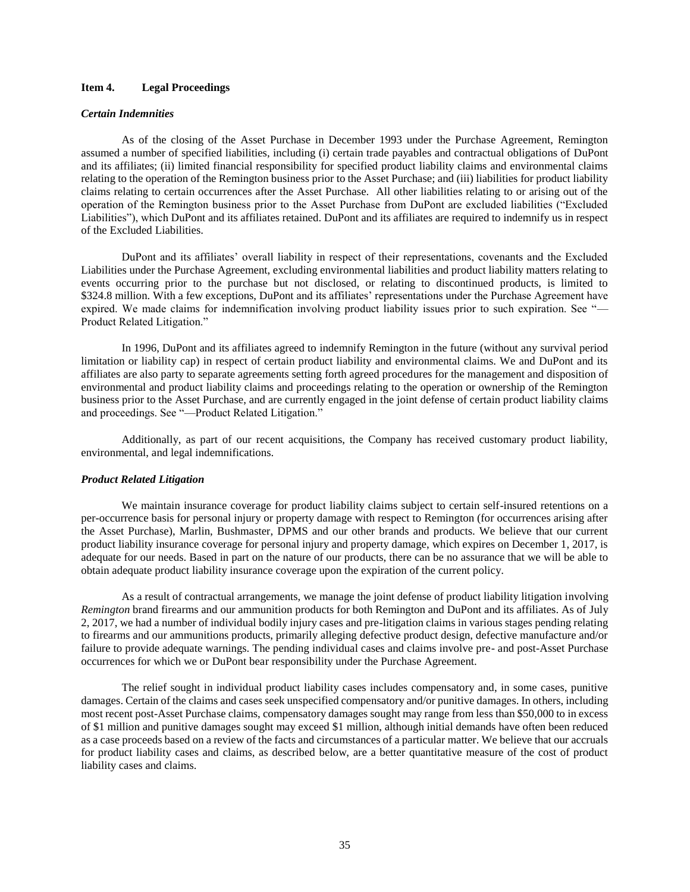# **Item 4. Legal Proceedings**

#### *Certain Indemnities*

As of the closing of the Asset Purchase in December 1993 under the Purchase Agreement, Remington assumed a number of specified liabilities, including (i) certain trade payables and contractual obligations of DuPont and its affiliates; (ii) limited financial responsibility for specified product liability claims and environmental claims relating to the operation of the Remington business prior to the Asset Purchase; and (iii) liabilities for product liability claims relating to certain occurrences after the Asset Purchase. All other liabilities relating to or arising out of the operation of the Remington business prior to the Asset Purchase from DuPont are excluded liabilities ("Excluded Liabilities"), which DuPont and its affiliates retained. DuPont and its affiliates are required to indemnify us in respect of the Excluded Liabilities.

DuPont and its affiliates' overall liability in respect of their representations, covenants and the Excluded Liabilities under the Purchase Agreement, excluding environmental liabilities and product liability matters relating to events occurring prior to the purchase but not disclosed, or relating to discontinued products, is limited to \$324.8 million. With a few exceptions, DuPont and its affiliates' representations under the Purchase Agreement have expired. We made claims for indemnification involving product liability issues prior to such expiration. See "— Product Related Litigation."

In 1996, DuPont and its affiliates agreed to indemnify Remington in the future (without any survival period limitation or liability cap) in respect of certain product liability and environmental claims. We and DuPont and its affiliates are also party to separate agreements setting forth agreed procedures for the management and disposition of environmental and product liability claims and proceedings relating to the operation or ownership of the Remington business prior to the Asset Purchase, and are currently engaged in the joint defense of certain product liability claims and proceedings. See "—Product Related Litigation."

Additionally, as part of our recent acquisitions, the Company has received customary product liability, environmental, and legal indemnifications.

#### *Product Related Litigation*

We maintain insurance coverage for product liability claims subject to certain self-insured retentions on a per-occurrence basis for personal injury or property damage with respect to Remington (for occurrences arising after the Asset Purchase), Marlin, Bushmaster, DPMS and our other brands and products. We believe that our current product liability insurance coverage for personal injury and property damage, which expires on December 1, 2017, is adequate for our needs. Based in part on the nature of our products, there can be no assurance that we will be able to obtain adequate product liability insurance coverage upon the expiration of the current policy.

As a result of contractual arrangements, we manage the joint defense of product liability litigation involving *Remington* brand firearms and our ammunition products for both Remington and DuPont and its affiliates. As of July 2, 2017, we had a number of individual bodily injury cases and pre-litigation claims in various stages pending relating to firearms and our ammunitions products, primarily alleging defective product design, defective manufacture and/or failure to provide adequate warnings. The pending individual cases and claims involve pre- and post-Asset Purchase occurrences for which we or DuPont bear responsibility under the Purchase Agreement.

The relief sought in individual product liability cases includes compensatory and, in some cases, punitive damages. Certain of the claims and cases seek unspecified compensatory and/or punitive damages. In others, including most recent post-Asset Purchase claims, compensatory damages sought may range from less than \$50,000 to in excess of \$1 million and punitive damages sought may exceed \$1 million, although initial demands have often been reduced as a case proceeds based on a review of the facts and circumstances of a particular matter. We believe that our accruals for product liability cases and claims, as described below, are a better quantitative measure of the cost of product liability cases and claims.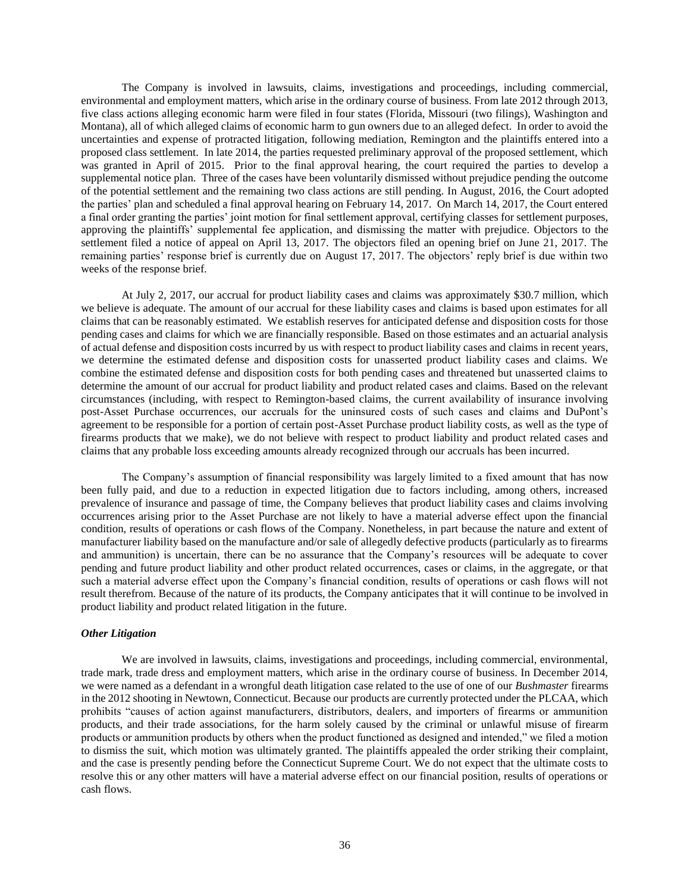The Company is involved in lawsuits, claims, investigations and proceedings, including commercial, environmental and employment matters, which arise in the ordinary course of business. From late 2012 through 2013, five class actions alleging economic harm were filed in four states (Florida, Missouri (two filings), Washington and Montana), all of which alleged claims of economic harm to gun owners due to an alleged defect. In order to avoid the uncertainties and expense of protracted litigation, following mediation, Remington and the plaintiffs entered into a proposed class settlement. In late 2014, the parties requested preliminary approval of the proposed settlement, which was granted in April of 2015. Prior to the final approval hearing, the court required the parties to develop a supplemental notice plan. Three of the cases have been voluntarily dismissed without prejudice pending the outcome of the potential settlement and the remaining two class actions are still pending. In August, 2016, the Court adopted the parties' plan and scheduled a final approval hearing on February 14, 2017. On March 14, 2017, the Court entered a final order granting the parties' joint motion for final settlement approval, certifying classes for settlement purposes, approving the plaintiffs' supplemental fee application, and dismissing the matter with prejudice. Objectors to the settlement filed a notice of appeal on April 13, 2017. The objectors filed an opening brief on June 21, 2017. The remaining parties' response brief is currently due on August 17, 2017. The objectors' reply brief is due within two weeks of the response brief.

At July 2, 2017, our accrual for product liability cases and claims was approximately \$30.7 million, which we believe is adequate. The amount of our accrual for these liability cases and claims is based upon estimates for all claims that can be reasonably estimated. We establish reserves for anticipated defense and disposition costs for those pending cases and claims for which we are financially responsible. Based on those estimates and an actuarial analysis of actual defense and disposition costs incurred by us with respect to product liability cases and claims in recent years, we determine the estimated defense and disposition costs for unasserted product liability cases and claims. We combine the estimated defense and disposition costs for both pending cases and threatened but unasserted claims to determine the amount of our accrual for product liability and product related cases and claims. Based on the relevant circumstances (including, with respect to Remington-based claims, the current availability of insurance involving post-Asset Purchase occurrences, our accruals for the uninsured costs of such cases and claims and DuPont's agreement to be responsible for a portion of certain post-Asset Purchase product liability costs, as well as the type of firearms products that we make), we do not believe with respect to product liability and product related cases and claims that any probable loss exceeding amounts already recognized through our accruals has been incurred.

The Company's assumption of financial responsibility was largely limited to a fixed amount that has now been fully paid, and due to a reduction in expected litigation due to factors including, among others, increased prevalence of insurance and passage of time, the Company believes that product liability cases and claims involving occurrences arising prior to the Asset Purchase are not likely to have a material adverse effect upon the financial condition, results of operations or cash flows of the Company. Nonetheless, in part because the nature and extent of manufacturer liability based on the manufacture and/or sale of allegedly defective products (particularly as to firearms and ammunition) is uncertain, there can be no assurance that the Company's resources will be adequate to cover pending and future product liability and other product related occurrences, cases or claims, in the aggregate, or that such a material adverse effect upon the Company's financial condition, results of operations or cash flows will not result therefrom. Because of the nature of its products, the Company anticipates that it will continue to be involved in product liability and product related litigation in the future.

#### *Other Litigation*

We are involved in lawsuits, claims, investigations and proceedings, including commercial, environmental, trade mark, trade dress and employment matters, which arise in the ordinary course of business. In December 2014, we were named as a defendant in a wrongful death litigation case related to the use of one of our *Bushmaster* firearms in the 2012 shooting in Newtown, Connecticut. Because our products are currently protected under the PLCAA, which prohibits "causes of action against manufacturers, distributors, dealers, and importers of firearms or ammunition products, and their trade associations, for the harm solely caused by the criminal or unlawful misuse of firearm products or ammunition products by others when the product functioned as designed and intended," we filed a motion to dismiss the suit, which motion was ultimately granted. The plaintiffs appealed the order striking their complaint, and the case is presently pending before the Connecticut Supreme Court. We do not expect that the ultimate costs to resolve this or any other matters will have a material adverse effect on our financial position, results of operations or cash flows.